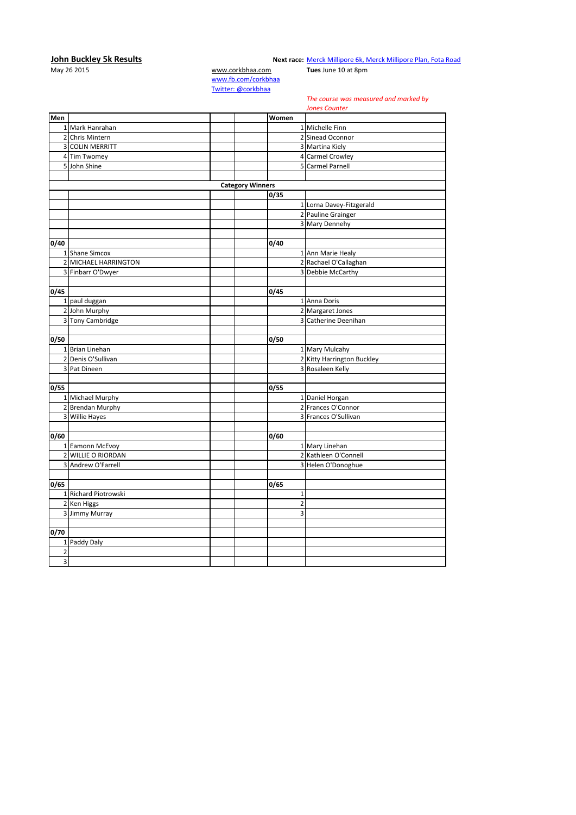## **10hn Buckley 5k Results**<br>May 26 2015 **WAREL May 26 2015** Wext race: Merck Millipore 6k, N<br>may 26 2015 **WWW.corkbhaa.com Tues** June 10 at 8pm

**Next race: [Merck Millipore 6k, Merck Millipore Plan, Fota Road](http://corkbhaa.com/races/merck-millipore/)** 

[www.fb.com/corkbhaa](http://www.fb.com/corkbhaa) [Twitter: @corkbhaa](https://twitter.com/corkbhaa)

## *The course was measured and marked by*

|                         |                        |                         |                         | <b>Jones Counter</b>       |
|-------------------------|------------------------|-------------------------|-------------------------|----------------------------|
| Men                     |                        |                         | Women                   |                            |
|                         | 1 Mark Hanrahan        |                         |                         | 1 Michelle Finn            |
|                         | 2 Chris Mintern        |                         |                         | 2 Sinead Oconnor           |
|                         | <b>3 COLIN MERRITT</b> |                         |                         | 3 Martina Kiely            |
|                         | 4 Tim Twomey           |                         |                         | 4 Carmel Crowley           |
|                         | 5 John Shine           |                         |                         | 5 Carmel Parnell           |
|                         |                        |                         |                         |                            |
|                         |                        | <b>Category Winners</b> |                         |                            |
|                         |                        |                         | 0/35                    |                            |
|                         |                        |                         |                         | 1 Lorna Davey-Fitzgerald   |
|                         |                        |                         |                         | 2 Pauline Grainger         |
|                         |                        |                         |                         | 3 Mary Dennehy             |
|                         |                        |                         |                         |                            |
| 0/40                    |                        |                         | 0/40                    |                            |
|                         | 1 Shane Simcox         |                         |                         | 1 Ann Marie Healy          |
|                         | 2 MICHAEL HARRINGTON   |                         |                         | 2 Rachael O'Callaghan      |
|                         | 3 Finbarr O'Dwyer      |                         |                         | 3 Debbie McCarthy          |
|                         |                        |                         |                         |                            |
| 0/45                    |                        |                         | 0/45                    |                            |
|                         | 1 paul duggan          |                         |                         | 1 Anna Doris               |
|                         | 2 John Murphy          |                         |                         | 2 Margaret Jones           |
|                         | 3 Tony Cambridge       |                         |                         | 3 Catherine Deenihan       |
|                         |                        |                         |                         |                            |
| 0/50                    |                        |                         | 0/50                    |                            |
|                         | 1 Brian Linehan        |                         |                         | 1 Mary Mulcahy             |
|                         | 2 Denis O'Sullivan     |                         |                         | 2 Kitty Harrington Buckley |
|                         | 3 Pat Dineen           |                         |                         | 3 Rosaleen Kelly           |
|                         |                        |                         |                         |                            |
| 0/55                    |                        |                         | 0/55                    |                            |
|                         | 1 Michael Murphy       |                         |                         | 1 Daniel Horgan            |
|                         | 2 Brendan Murphy       |                         |                         | 2 Frances O'Connor         |
|                         | 3 Willie Hayes         |                         |                         | 3 Frances O'Sullivan       |
|                         |                        |                         |                         |                            |
| 0/60                    |                        |                         | 0/60                    |                            |
|                         | 1 Eamonn McEvoy        |                         |                         | 1 Mary Linehan             |
|                         | 2 WILLIE O RIORDAN     |                         |                         | 2 Kathleen O'Connell       |
|                         | 3 Andrew O'Farrell     |                         |                         | 3 Helen O'Donoghue         |
|                         |                        |                         |                         |                            |
| 0/65                    |                        |                         | 0/65                    |                            |
|                         | 1 Richard Piotrowski   |                         | $\mathbf{1}$            |                            |
|                         | 2 Ken Higgs            |                         | $\overline{\mathbf{c}}$ |                            |
|                         | 3 Jimmy Murray         |                         | 3                       |                            |
|                         |                        |                         |                         |                            |
| 0/70                    |                        |                         |                         |                            |
|                         | 1 Paddy Daly           |                         |                         |                            |
| $\overline{\mathbf{c}}$ |                        |                         |                         |                            |
| $\overline{3}$          |                        |                         |                         |                            |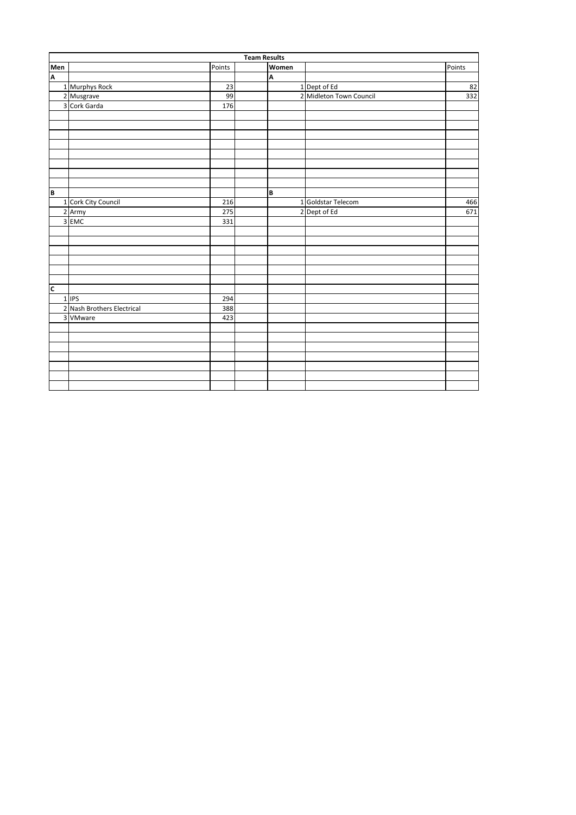|                         | <b>Team Results</b>        |        |  |       |                         |        |  |  |  |
|-------------------------|----------------------------|--------|--|-------|-------------------------|--------|--|--|--|
| Men<br>A                |                            | Points |  | Women |                         | Points |  |  |  |
|                         |                            |        |  | A     |                         |        |  |  |  |
|                         | 1 Murphys Rock             | 23     |  |       | 1 Dept of Ed            | 82     |  |  |  |
|                         | 2 Musgrave                 | 99     |  |       | 2 Midleton Town Council | 332    |  |  |  |
|                         | 3 Cork Garda               | 176    |  |       |                         |        |  |  |  |
|                         |                            |        |  |       |                         |        |  |  |  |
|                         |                            |        |  |       |                         |        |  |  |  |
|                         |                            |        |  |       |                         |        |  |  |  |
|                         |                            |        |  |       |                         |        |  |  |  |
|                         |                            |        |  |       |                         |        |  |  |  |
|                         |                            |        |  |       |                         |        |  |  |  |
|                         |                            |        |  |       |                         |        |  |  |  |
|                         |                            |        |  |       |                         |        |  |  |  |
| B                       |                            |        |  | B     |                         |        |  |  |  |
|                         | 1 Cork City Council        | 216    |  |       | 1 Goldstar Telecom      | 466    |  |  |  |
|                         | 2 Army                     | 275    |  |       | 2 Dept of Ed            | 671    |  |  |  |
|                         | 3 EMC                      | 331    |  |       |                         |        |  |  |  |
|                         |                            |        |  |       |                         |        |  |  |  |
|                         |                            |        |  |       |                         |        |  |  |  |
|                         |                            |        |  |       |                         |        |  |  |  |
|                         |                            |        |  |       |                         |        |  |  |  |
|                         |                            |        |  |       |                         |        |  |  |  |
|                         |                            |        |  |       |                         |        |  |  |  |
| $\overline{\mathsf{c}}$ |                            |        |  |       |                         |        |  |  |  |
|                         | 1 IPS                      | 294    |  |       |                         |        |  |  |  |
|                         | 2 Nash Brothers Electrical | 388    |  |       |                         |        |  |  |  |
|                         | 3 VMware                   | 423    |  |       |                         |        |  |  |  |
|                         |                            |        |  |       |                         |        |  |  |  |
|                         |                            |        |  |       |                         |        |  |  |  |
|                         |                            |        |  |       |                         |        |  |  |  |
|                         |                            |        |  |       |                         |        |  |  |  |
|                         |                            |        |  |       |                         |        |  |  |  |
|                         |                            |        |  |       |                         |        |  |  |  |
|                         |                            |        |  |       |                         |        |  |  |  |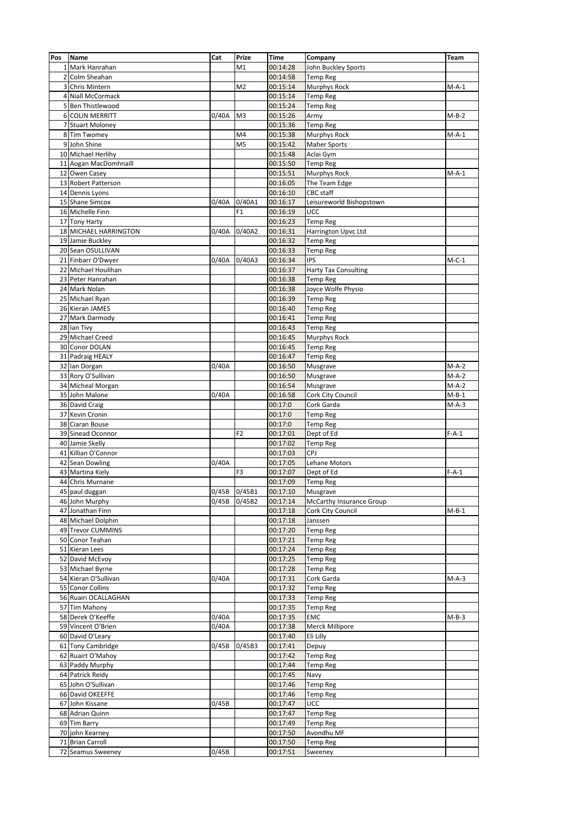| Pos | Name                              | Cat   | Prize          | <b>Time</b>          | Company                     | Team    |
|-----|-----------------------------------|-------|----------------|----------------------|-----------------------------|---------|
|     | 1 Mark Hanrahan                   |       | M1             | 00:14:28             | John Buckley Sports         |         |
|     | 2 Colm Sheahan                    |       |                | 00:14:58             | <b>Temp Reg</b>             |         |
|     | <b>Chris Mintern</b>              |       | M <sub>2</sub> | 00:15:14             | Murphys Rock                | $M-A-1$ |
| 3   |                                   |       |                |                      |                             |         |
|     | 4 Niall McCormack                 |       |                | 00:15:14             | <b>Temp Reg</b>             |         |
|     | 5 Ben Thistlewood                 |       |                | 00:15:24             | <b>Temp Reg</b>             |         |
|     | <b>6 COLIN MERRITT</b>            | 0/40A | M <sub>3</sub> | 00:15:26             | Army                        | $M-B-2$ |
|     | 7 Stuart Moloney                  |       |                | 00:15:36             | <b>Temp Reg</b>             |         |
|     | 8 Tim Twomey                      |       | M4             | 00:15:38             | Murphys Rock                | $M-A-1$ |
|     | 9 John Shine                      |       | M <sub>5</sub> | 00:15:42             | <b>Maher Sports</b>         |         |
|     | 10 Michael Herlihy                |       |                | 00:15:48             | Aclai Gym                   |         |
|     | 11 Aogan MacDomhnaill             |       |                | 00:15:50             | <b>Temp Reg</b>             |         |
|     | 12 Owen Casey                     |       |                | 00:15:51             | <b>Murphys Rock</b>         | $M-A-1$ |
|     | 13 Robert Patterson               |       |                | 00:16:05             | The Team Edge               |         |
|     | 14 Dennis Lyons                   |       |                | 00:16:10             | CBC staff                   |         |
|     | 15 Shane Simcox                   | 0/40A | 0/40A1         | 00:16:17             | Leisureworld Bishopstown    |         |
|     |                                   |       |                |                      |                             |         |
|     | 16 Michelle Finn                  |       | F <sub>1</sub> | 00:16:19             | UCC                         |         |
|     | 17 Tony Harty                     |       |                | 00:16:23             | <b>Temp Reg</b>             |         |
|     | 18 MICHAEL HARRINGTON             | 0/40A | 0/40A2         | 00:16:31             | Harrington Upvc Ltd         |         |
|     | 19 Jamie Buckley                  |       |                | 00:16:32             | <b>Temp Reg</b>             |         |
|     | 20 Sean OSULLIVAN                 |       |                | 00:16:33             | <b>Temp Reg</b>             |         |
|     | 21 Finbarr O'Dwyer                | 0/40A | 0/40A3         | 00:16:34             | <b>IPS</b>                  | $M-C-1$ |
|     | 22 Michael Houlihan               |       |                | 00:16:37             | <b>Harty Tax Consulting</b> |         |
|     | 23 Peter Hanrahan                 |       |                | 00:16:38             | <b>Temp Reg</b>             |         |
|     | 24 Mark Nolan                     |       |                | 00:16:38             | Joyce Wolfe Physio          |         |
|     | 25 Michael Ryan                   |       |                | 00:16:39             | <b>Temp Reg</b>             |         |
|     | 26 Kieran JAMES                   |       |                | 00:16:40             | <b>Temp Reg</b>             |         |
|     | 27 Mark Darmody                   |       |                | 00:16:41             | <b>Temp Reg</b>             |         |
|     | 28 Ian Tivy                       |       |                | 00:16:43             | <b>Temp Reg</b>             |         |
|     |                                   |       |                |                      |                             |         |
|     | 29 Michael Creed                  |       |                | 00:16:45             | <b>Murphys Rock</b>         |         |
|     | 30 Conor DOLAN                    |       |                | 00:16:45             | <b>Temp Reg</b>             |         |
|     | 31 Padraig HEALY                  |       |                | 00:16:47             | <b>Temp Reg</b>             |         |
|     | 32 Ian Dorgan                     | 0/40A |                | 00:16:50             | Musgrave                    | $M-A-2$ |
|     | 33 Rory O'Sullivan                |       |                | 00:16:50             | Musgrave                    | $M-A-2$ |
|     | 34 Micheal Morgan                 |       |                | 00:16:54             | Musgrave                    | $M-A-2$ |
|     | 35 John Malone                    | 0/40A |                | 00:16:58             | Cork City Council           | $M-B-1$ |
|     | 36 David Craig                    |       |                | 00:17:0              | Cork Garda                  | $M-A-3$ |
|     | 37 Kevin Cronin                   |       |                | 00:17:0              | <b>Temp Reg</b>             |         |
|     | 38 Ciaran Bouse                   |       |                | 00:17:0              | <b>Temp Reg</b>             |         |
|     | 39 Sinead Oconnor                 |       | F2             | 00:17:01             | Dept of Ed                  | $F-A-1$ |
|     | 40 Jamie Skelly                   |       |                | 00:17:02             | <b>Temp Reg</b>             |         |
|     | 41 Killian O'Connor               |       |                | 00:17:03             | CPJ                         |         |
|     | 42 Sean Dowling                   | 0/40A |                | 00:17:05             | Lehane Motors               |         |
|     |                                   |       |                |                      |                             |         |
| 43  | Martina Kiely<br>44 Chris Murnane |       | F3             | 00:17:07<br>00:17:09 | Dept of Ed                  | $F-A-1$ |
|     |                                   |       |                |                      | <b>Temp Reg</b>             |         |
|     | 45 paul duggan                    | 0/45B | 0/45B1         | 00:17:10             | Musgrave                    |         |
|     | 46 John Murphy                    | 0/45B | 0/45B2         | 00:17:14             | McCarthy Insurance Group    |         |
|     | 47 Jonathan Finn                  |       |                | 00:17:18             | Cork City Council           | $M-B-1$ |
|     | 48 Michael Dolphin                |       |                | 00:17:18             | Janssen                     |         |
|     | 49 Trevor CUMMINS                 |       |                | 00:17:20             | <b>Temp Reg</b>             |         |
|     | 50 Conor Teahan                   |       |                | 00:17:21             | <b>Temp Reg</b>             |         |
|     | 51 Kieran Lees                    |       |                | 00:17:24             | <b>Temp Reg</b>             |         |
|     | 52 David McEvoy                   |       |                | 00:17:25             | <b>Temp Reg</b>             |         |
|     | 53 Michael Byrne                  |       |                | 00:17:28             | <b>Temp Reg</b>             |         |
|     | 54 Kieran O'Sullivan              | 0/40A |                | 00:17:31             | Cork Garda                  | $M-A-3$ |
|     | 55 Conor Collins                  |       |                | 00:17:32             | <b>Temp Reg</b>             |         |
|     | 56 Ruairi OCALLAGHAN              |       |                | 00:17:33             | <b>Temp Reg</b>             |         |
|     | 57 Tim Mahony                     |       |                | 00:17:35             | <b>Temp Reg</b>             |         |
|     | 58 Derek O'Keeffe                 | 0/40A |                | 00:17:35             | <b>EMC</b>                  | $M-B-3$ |
|     |                                   |       |                |                      |                             |         |
|     | 59 Vincent O'Brien                | 0/40A |                | 00:17:38             | Merck Millipore             |         |
|     | 60 David O'Leary                  |       |                | 00:17:40             | Eli Lilly                   |         |
|     | 61 Tony Cambridge                 | 0/45B | 0/45B3         | 00:17:41             | Depuy                       |         |
|     | 62 Ruairt O'Mahoy                 |       |                | 00:17:42             | <b>Temp Reg</b>             |         |
|     | 63 Paddy Murphy                   |       |                | 00:17:44             | <b>Temp Reg</b>             |         |
|     | 64 Patrick Reidy                  |       |                | 00:17:45             | Navy                        |         |
|     | 65 John O'Sullivan                |       |                | 00:17:46             | <b>Temp Reg</b>             |         |
|     | 66 David OKEEFFE                  |       |                | 00:17:46             | <b>Temp Reg</b>             |         |
|     | 67 John Kissane                   | 0/45B |                | 00:17:47             | <b>UCC</b>                  |         |
|     | 68 Adrian Quinn                   |       |                | 00:17:47             | <b>Temp Reg</b>             |         |
|     | 69 Tim Barry                      |       |                | 00:17:49             | <b>Temp Reg</b>             |         |
|     | 70 john Kearney                   |       |                | 00:17:50             | Avondhu MF                  |         |
|     |                                   |       |                |                      |                             |         |
|     | 71 Brian Carroll                  |       |                | 00:17:50             | <b>Temp Reg</b>             |         |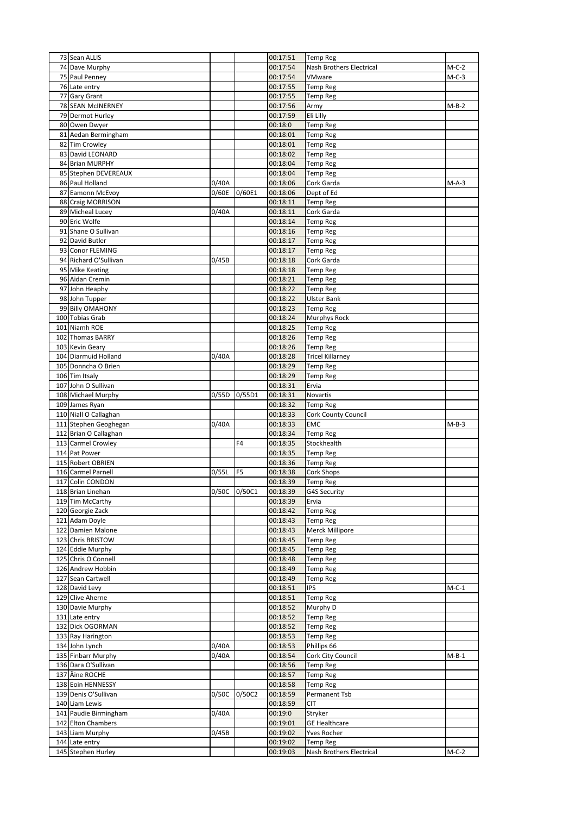| 73 Sean ALLIS                        |              |                | 00:17:51             | <b>Temp Reg</b>                             |         |
|--------------------------------------|--------------|----------------|----------------------|---------------------------------------------|---------|
| 74 Dave Murphy                       |              |                | 00:17:54             | Nash Brothers Electrical                    | $M-C-2$ |
| 75 Paul Penney                       |              |                | 00:17:54             | VMware                                      | $M-C-3$ |
| 76 Late entry                        |              |                | 00:17:55             | <b>Temp Reg</b>                             |         |
| 77 Gary Grant                        |              |                | 00:17:55             | <b>Temp Reg</b>                             |         |
| 78 SEAN MCINERNEY                    |              |                | 00:17:56             | Army                                        | $M-B-2$ |
| 79 Dermot Hurley                     |              |                | 00:17:59             | Eli Lilly                                   |         |
| 80 Owen Dwyer                        |              |                | 00:18:0              | <b>Temp Reg</b>                             |         |
| 81 Aedan Bermingham                  |              |                | 00:18:01             | <b>Temp Reg</b>                             |         |
| 82 Tim Crowley                       |              |                | 00:18:01             | <b>Temp Reg</b>                             |         |
| 83 David LEONARD                     |              |                | 00:18:02             | <b>Temp Reg</b>                             |         |
| 84 Brian MURPHY                      |              |                | 00:18:04             | <b>Temp Reg</b>                             |         |
| 85 Stephen DEVEREAUX                 |              |                | 00:18:04             | <b>Temp Reg</b>                             |         |
| 86 Paul Holland                      | 0/40A        |                | 00:18:06             | Cork Garda                                  | M-A-3   |
| 87 Eamonn McEvoy                     | 0/60E        | 0/60E1         | 00:18:06             | Dept of Ed                                  |         |
| 88 Craig MORRISON                    |              |                | 00:18:11             | <b>Temp Reg</b>                             |         |
| 89 Micheal Lucey                     | 0/40A        |                | 00:18:11             | Cork Garda                                  |         |
| 90 Eric Wolfe                        |              |                | 00:18:14             | <b>Temp Reg</b>                             |         |
| 91 Shane O Sullivan                  |              |                | 00:18:16             | <b>Temp Reg</b>                             |         |
| 92 David Butler                      |              |                | 00:18:17             | <b>Temp Reg</b>                             |         |
| 93 Conor FLEMING                     |              |                | 00:18:17             | <b>Temp Reg</b>                             |         |
| 94 Richard O'Sullivan                | 0/45B        |                | 00:18:18             | Cork Garda                                  |         |
| 95 Mike Keating                      |              |                | 00:18:18             | <b>Temp Reg</b>                             |         |
| 96 Aidan Cremin<br>97 John Heaphy    |              |                | 00:18:21             | <b>Temp Reg</b>                             |         |
| 98 John Tupper                       |              |                | 00:18:22<br>00:18:22 | <b>Temp Reg</b><br><b>Ulster Bank</b>       |         |
| 99 Billy OMAHONY                     |              |                |                      |                                             |         |
| 100 Tobias Grab                      |              |                | 00:18:23<br>00:18:24 | <b>Temp Reg</b><br><b>Murphys Rock</b>      |         |
| 101 Niamh ROE                        |              |                | 00:18:25             | <b>Temp Reg</b>                             |         |
| 102 Thomas BARRY                     |              |                | 00:18:26             |                                             |         |
| 103 Kevin Geary                      |              |                | 00:18:26             | <b>Temp Reg</b><br><b>Temp Reg</b>          |         |
| 104 Diarmuid Holland                 | 0/40A        |                | 00:18:28             | <b>Tricel Killarney</b>                     |         |
| 105 Donncha O Brien                  |              |                | 00:18:29             | <b>Temp Reg</b>                             |         |
| 106 Tim Itsaly                       |              |                | 00:18:29             |                                             |         |
| 107 John O Sullivan                  |              |                | 00:18:31             | <b>Temp Reg</b><br>Ervia                    |         |
| 108 Michael Murphy                   | 0/55D        | 0/55D1         | 00:18:31             | Novartis                                    |         |
| 109 James Ryan                       |              |                | 00:18:32             | <b>Temp Reg</b>                             |         |
|                                      |              |                |                      |                                             |         |
|                                      |              |                |                      |                                             |         |
| 110 Niall O Callaghan                |              |                | 00:18:33             | Cork County Council                         |         |
| 111 Stephen Geoghegan                | 0/40A        |                | 00:18:33             | EMC                                         | $M-B-3$ |
| 112 Brian O Callaghan                |              |                | 00:18:34             | <b>Temp Reg</b>                             |         |
| 113 Carmel Crowley                   |              | F4             | 00:18:35             | Stockhealth                                 |         |
| 114 Pat Power                        |              |                | 00:18:35             | <b>Temp Reg</b>                             |         |
| 115 Robert OBRIEN                    |              |                | 00:18:36             | <b>Temp Reg</b>                             |         |
| 116 Carmel Parnell                   | 0/55L        | F <sub>5</sub> | 00:18:38             | Cork Shops                                  |         |
| 117 Colin CONDON                     |              |                | 00:18:39             | <b>Temp Reg</b>                             |         |
| 118 Brian Linehan                    | 0/50C 0/50C1 |                | 00:18:39             | <b>G4S Security</b>                         |         |
| 119 Tim McCarthy                     |              |                | 00:18:39             | Ervia                                       |         |
| 120 Georgie Zack<br>121 Adam Doyle   |              |                | 00:18:42<br>00:18:43 | <b>Temp Reg</b>                             |         |
| 122 Damien Malone                    |              |                |                      | <b>Temp Reg</b>                             |         |
| 123 Chris BRISTOW                    |              |                | 00:18:43<br>00:18:45 | <b>Merck Millipore</b><br><b>Temp Reg</b>   |         |
| 124 Eddie Murphy                     |              |                | 00:18:45             | <b>Temp Reg</b>                             |         |
| 125 Chris O Connell                  |              |                | 00:18:48             | <b>Temp Reg</b>                             |         |
| 126 Andrew Hobbin                    |              |                | 00:18:49             | <b>Temp Reg</b>                             |         |
| 127 Sean Cartwell                    |              |                | 00:18:49             | <b>Temp Reg</b>                             |         |
| 128 David Levy                       |              |                | 00:18:51             | <b>IPS</b>                                  | $M-C-1$ |
| 129 Clive Aherne                     |              |                | 00:18:51             | <b>Temp Reg</b>                             |         |
| 130 Davie Murphy                     |              |                | 00:18:52             | Murphy D                                    |         |
| 131 Late entry                       |              |                | 00:18:52             | <b>Temp Reg</b>                             |         |
| 132 Dick OGORMAN                     |              |                | 00:18:52             | <b>Temp Reg</b>                             |         |
| 133 Ray Harington                    |              |                | 00:18:53             | <b>Temp Reg</b>                             |         |
| 134 John Lynch                       | 0/40A        |                | 00:18:53             | Phillips 66                                 |         |
| 135 Finbarr Murphy                   | 0/40A        |                | 00:18:54             | Cork City Council                           | $M-B-1$ |
| 136 Dara O'Sullivan                  |              |                | 00:18:56             | <b>Temp Reg</b>                             |         |
| 137 Äine ROCHE                       |              |                | 00:18:57             | <b>Temp Reg</b>                             |         |
| 138 Eoin HENNESSY                    |              |                | 00:18:58             | <b>Temp Reg</b>                             |         |
| 139 Denis O'Sullivan                 | 0/50C        | 0/50C2         | 00:18:59             | Permanent Tsb                               |         |
| 140 Liam Lewis                       |              |                | 00:18:59             | <b>CIT</b>                                  |         |
| 141 Paudie Birmingham                | 0/40A        |                | 00:19:0              | Stryker                                     |         |
| 142 Elton Chambers                   |              |                | 00:19:01             | <b>GE Healthcare</b>                        |         |
| 143 Liam Murphy                      | 0/45B        |                | 00:19:02             | Yves Rocher                                 |         |
| 144 Late entry<br>145 Stephen Hurley |              |                | 00:19:02<br>00:19:03 | <b>Temp Reg</b><br>Nash Brothers Electrical | $M-C-2$ |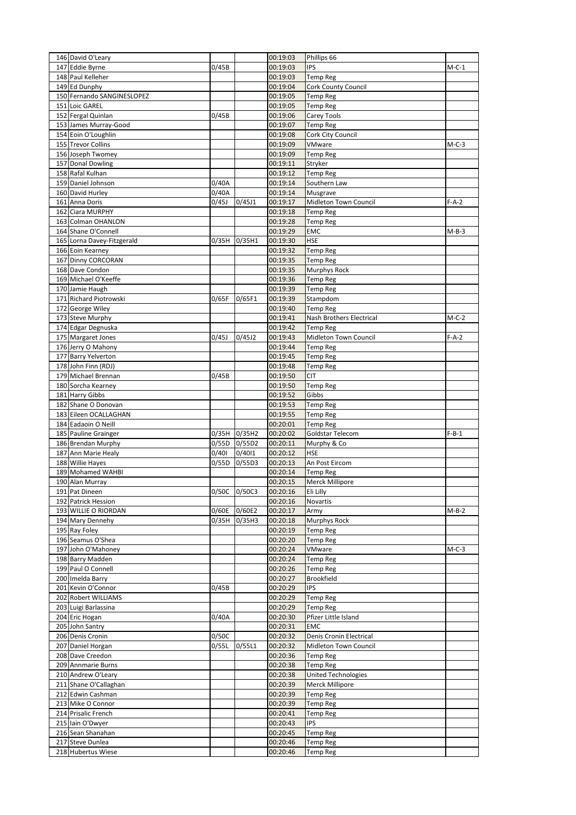| 146 David O'Leary                          |              |        | 00:19:03             | Phillips 66                        |         |
|--------------------------------------------|--------------|--------|----------------------|------------------------------------|---------|
| 147 Eddie Byrne                            | 0/45B        |        | 00:19:03             | <b>IPS</b>                         | $M-C-1$ |
| 148 Paul Kelleher                          |              |        | 00:19:03             | <b>Temp Reg</b>                    |         |
| 149 Ed Dunphy                              |              |        | 00:19:04             | Cork County Council                |         |
| 150 Fernando SANGINESLOPEZ                 |              |        | 00:19:05             | Temp Reg                           |         |
| 151 Loic GAREL                             |              |        | 00:19:05             | Temp Reg                           |         |
| 152 Fergal Quinlan                         | 0/45B        |        | 00:19:06             | Carey Tools                        |         |
| 153 James Murray-Good                      |              |        | 00:19:07             | Temp Reg                           |         |
| 154 Eoin O'Loughlin                        |              |        | 00:19:08             | Cork City Council                  |         |
| 155 Trevor Collins                         |              |        | 00:19:09             | VMware                             | M-C-3   |
| 156 Joseph Twomey                          |              |        | 00:19:09             | Temp Reg                           |         |
| 157 Donal Dowling                          |              |        | 00:19:11             | Stryker                            |         |
| 158 Rafal Kulhan                           |              |        | 00:19:12             | <b>Temp Reg</b>                    |         |
| 159 Daniel Johnson                         | 0/40A        |        | 00:19:14             | Southern Law                       |         |
| 160 David Hurley                           | 0/40A        |        | 00:19:14             | Musgrave                           |         |
| 161 Anna Doris                             | 0/45J        | 0/45J1 | 00:19:17             | Midleton Town Council              | $F-A-2$ |
| 162 Ciara MURPHY                           |              |        | 00:19:18             | <b>Temp Reg</b>                    |         |
| 163 Colman OHANLON                         |              |        | 00:19:28             | Temp Reg                           |         |
| 164 Shane O'Connell                        |              |        | 00:19:29             | EMC                                | $M-B-3$ |
| 165 Lorna Davey-Fitzgerald                 | 0/35H        | 0/35H1 | 00:19:30             | HSE                                |         |
| 166 Eoin Kearney                           |              |        | 00:19:32             | Temp Reg                           |         |
| 167 Dinny CORCORAN                         |              |        | 00:19:35             | Temp Reg                           |         |
| 168 Dave Condon                            |              |        | 00:19:35             | Murphys Rock                       |         |
| 169 Michael O'Keeffe                       |              |        | 00:19:36             | <b>Temp Reg</b>                    |         |
| 170 Jamie Haugh                            |              |        | 00:19:39             | Temp Reg                           |         |
| 171 Richard Piotrowski                     | 0/65F        | 0/65F1 | 00:19:39             | Stampdom                           |         |
| 172 George Wiley                           |              |        | 00:19:40             | Temp Reg                           |         |
| 173 Steve Murphy                           |              |        | 00:19:41             | Nash Brothers Electrical           | M-C-2   |
| 174 Edgar Degnuska                         |              |        | 00:19:42             | <b>Temp Reg</b>                    |         |
| 175 Margaret Jones                         | 0/45J        | 0/45J2 | 00:19:43             | Midleton Town Council              | $F-A-2$ |
| 176 Jerry O Mahony                         |              |        | 00:19:44             | <b>Temp Reg</b>                    |         |
|                                            |              |        |                      |                                    |         |
| 177 Barry Yelverton                        |              |        | 00:19:45<br>00:19:48 | <b>Temp Reg</b>                    |         |
| 178 John Finn (RDJ)<br>179 Michael Brennan |              |        | 00:19:50             | Temp Reg<br>CIT                    |         |
|                                            | 0/45B        |        |                      |                                    |         |
| 180 Sorcha Kearney                         |              |        | 00:19:50             | Temp Reg                           |         |
| 181 Harry Gibbs                            |              |        | 00:19:52             | Gibbs                              |         |
| 182 Shane O Donovan                        |              |        | 00:19:53             | Temp Reg                           |         |
| 183 Eileen OCALLAGHAN                      |              |        | 00:19:55             | <b>Temp Reg</b>                    |         |
| 184 Eadaoin O Neill                        |              |        | 00:20:01             | Temp Reg                           |         |
| 185 Pauline Grainger                       | 0/35H        | 0/35H2 | 00:20:02             | Goldstar Telecom                   | $F-B-1$ |
| 186 Brendan Murphy                         | 0/55D        | 0/55D2 | 00:20:11             | Murphy & Co                        |         |
| 187 Ann Marie Healy                        | 0/401        | 0/4011 | 00:20:12             | HSE                                |         |
| 188 Willie Hayes                           | 0/55D        | 0/55D3 | 00:20:13             | An Post Eircom                     |         |
| 189 Mohamed WAHBI                          |              |        | 00:20:14             | Temp Reg                           |         |
| 190 Alan Murray                            |              |        | 00:20:15             | Merck Millipore                    |         |
| 191 Pat Dineen                             | 0/50C 0/50C3 |        | 00:20:16             | Eli Lilly                          |         |
| 192 Patrick Hession                        |              |        | 00:20:16             | Novartis                           |         |
| 193 WILLIE O RIORDAN                       | 0/60E        | 0/60E2 | 00:20:17             | Army                               | $M-B-2$ |
| 194 Mary Dennehy                           | 0/35H        | 0/35H3 | 00:20:18             | <b>Murphys Rock</b>                |         |
| 195 Ray Foley                              |              |        | 00:20:19             | <b>Temp Reg</b>                    |         |
| 196 Seamus O'Shea                          |              |        | 00:20:20             | <b>Temp Reg</b>                    |         |
| 197 John O'Mahoney                         |              |        | 00:20:24             | VMware                             | $M-C-3$ |
| 198 Barry Madden                           |              |        | 00:20:24             | <b>Temp Reg</b>                    |         |
| 199 Paul O Connell                         |              |        | 00:20:26             | <b>Temp Reg</b>                    |         |
| 200 Imelda Barry                           |              |        | 00:20:27             | <b>Brookfield</b>                  |         |
| 201 Kevin O'Connor                         | 0/45B        |        | 00:20:29             | IPS                                |         |
| 202 Robert WILLIAMS                        |              |        | 00:20:29             | <b>Temp Reg</b>                    |         |
| 203 Luigi Barlassina                       |              |        | 00:20:29             | <b>Temp Reg</b>                    |         |
| 204 Eric Hogan                             | 0/40A        |        | 00:20:30             | Pfizer Little Island               |         |
| 205 John Santry                            |              |        | 00:20:31             | EMC                                |         |
| 206 Denis Cronin                           | 0/50C        |        | 00:20:32             | Denis Cronin Electrical            |         |
| 207 Daniel Horgan                          | 0/55L        | 0/55L1 | 00:20:32             | Midleton Town Council              |         |
| 208 Dave Creedon                           |              |        | 00:20:36             | <b>Temp Reg</b>                    |         |
| 209 Annmarie Burns                         |              |        | 00:20:38             | <b>Temp Reg</b>                    |         |
| 210 Andrew O'Leary                         |              |        | 00:20:38             | United Technologies                |         |
| 211 Shane O'Callaghan                      |              |        | 00:20:39             | Merck Millipore                    |         |
|                                            |              |        | 00:20:39             | <b>Temp Reg</b>                    |         |
| 212 Edwin Cashman                          |              |        |                      |                                    |         |
| 213 Mike O Connor                          |              |        | 00:20:39             | <b>Temp Reg</b>                    |         |
| 214 Prisalic French                        |              |        | 00:20:41             | <b>Temp Reg</b>                    |         |
| 215 Iain O'Dwyer                           |              |        | 00:20:43             | IPS                                |         |
| 216 Sean Shanahan                          |              |        | 00:20:45             | Temp Reg                           |         |
| 217 Steve Dunlea<br>218 Hubertus Wiese     |              |        | 00:20:46<br>00:20:46 | <b>Temp Reg</b><br><b>Temp Reg</b> |         |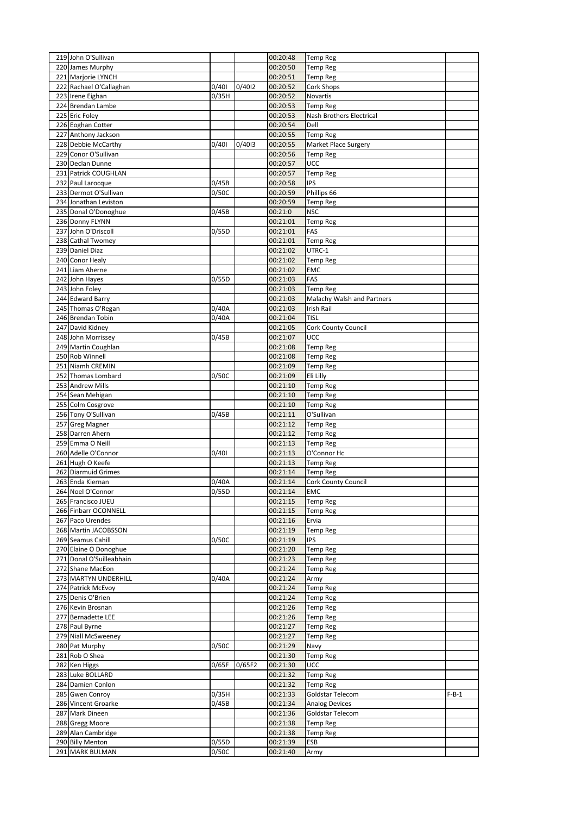| 219 John O'Sullivan      |       |        | 00:20:48 | <b>Temp Reg</b>            |         |
|--------------------------|-------|--------|----------|----------------------------|---------|
| 220 James Murphy         |       |        | 00:20:50 | <b>Temp Reg</b>            |         |
| 221 Marjorie LYNCH       |       |        | 00:20:51 | <b>Temp Reg</b>            |         |
|                          |       |        |          |                            |         |
| 222 Rachael O'Callaghan  | 0/401 | 0/4012 | 00:20:52 | Cork Shops                 |         |
| 223 Irene Eighan         | 0/35H |        | 00:20:52 | Novartis                   |         |
| 224 Brendan Lambe        |       |        | 00:20:53 | <b>Temp Reg</b>            |         |
| 225 Eric Foley           |       |        | 00:20:53 | Nash Brothers Electrical   |         |
| 226 Eoghan Cotter        |       |        | 00:20:54 | Dell                       |         |
| 227 Anthony Jackson      |       |        | 00:20:55 | <b>Temp Reg</b>            |         |
| 228 Debbie McCarthy      | 0/401 | 0/4013 | 00:20:55 | Market Place Surgery       |         |
| 229 Conor O'Sullivan     |       |        | 00:20:56 | <b>Temp Reg</b>            |         |
| 230 Declan Dunne         |       |        | 00:20:57 | <b>UCC</b>                 |         |
| 231 Patrick COUGHLAN     |       |        | 00:20:57 | <b>Temp Reg</b>            |         |
| 232 Paul Larocque        | 0/45B |        | 00:20:58 | <b>IPS</b>                 |         |
| 233 Dermot O'Sullivan    | 0/50C |        | 00:20:59 | Phillips 66                |         |
| 234 Jonathan Leviston    |       |        | 00:20:59 | <b>Temp Reg</b>            |         |
| 235 Donal O'Donoghue     | 0/45B |        | 00:21:0  | <b>NSC</b>                 |         |
| 236 Donny FLYNN          |       |        | 00:21:01 | <b>Temp Reg</b>            |         |
| 237 John O'Driscoll      | 0/55D |        | 00:21:01 | FAS                        |         |
| 238 Cathal Twomey        |       |        | 00:21:01 | <b>Temp Reg</b>            |         |
| 239 Daniel Diaz          |       |        | 00:21:02 | UTRC-1                     |         |
|                          |       |        |          |                            |         |
| 240 Conor Healy          |       |        | 00:21:02 | <b>Temp Reg</b>            |         |
| 241 Liam Aherne          |       |        | 00:21:02 | EMC                        |         |
| 242 John Hayes           | 0/55D |        | 00:21:03 | FAS                        |         |
| 243 John Foley           |       |        | 00:21:03 | <b>Temp Reg</b>            |         |
| 244 Edward Barry         |       |        | 00:21:03 | Malachy Walsh and Partners |         |
| 245 Thomas O'Regan       | 0/40A |        | 00:21:03 | Irish Rail                 |         |
| 246 Brendan Tobin        | 0/40A |        | 00:21:04 | <b>TISL</b>                |         |
| 247 David Kidney         |       |        | 00:21:05 | <b>Cork County Council</b> |         |
| 248 John Morrissey       | 0/45B |        | 00:21:07 | <b>UCC</b>                 |         |
| 249 Martin Coughlan      |       |        | 00:21:08 | <b>Temp Reg</b>            |         |
| 250 Rob Winnell          |       |        | 00:21:08 | <b>Temp Reg</b>            |         |
| 251 Niamh CREMIN         |       |        | 00:21:09 | Temp Reg                   |         |
| 252 Thomas Lombard       | 0/50C |        | 00:21:09 | Eli Lilly                  |         |
| 253 Andrew Mills         |       |        | 00:21:10 | <b>Temp Reg</b>            |         |
| 254 Sean Mehigan         |       |        | 00:21:10 | <b>Temp Reg</b>            |         |
| 255 Colm Cosgrove        |       |        | 00:21:10 | <b>Temp Reg</b>            |         |
| 256 Tony O'Sullivan      | 0/45B |        | 00:21:11 | O'Sullivan                 |         |
| 257 Greg Magner          |       |        | 00:21:12 | <b>Temp Reg</b>            |         |
| 258 Darren Ahern         |       |        | 00:21:12 | <b>Temp Reg</b>            |         |
| 259 Emma O Neill         |       |        | 00:21:13 | <b>Temp Reg</b>            |         |
| 260 Adelle O'Connor      | 0/401 |        | 00:21:13 | O'Connor Hc                |         |
| 261 Hugh O Keefe         |       |        | 00:21:13 | <b>Temp Reg</b>            |         |
| 262 Diarmuid Grimes      |       |        | 00:21:14 |                            |         |
|                          | 0/40A |        |          | <b>Temp Reg</b>            |         |
| 263 Enda Kiernan         |       |        | 00:21:14 | Cork County Council        |         |
| 264 Noel O'Connor        | 0/55D |        | 00:21:14 | <b>EMC</b>                 |         |
| 265 Francisco JUEU       |       |        | 00:21:15 | <b>Temp Reg</b>            |         |
| 266 Finbarr OCONNELL     |       |        | 00:21:15 | <b>Temp Reg</b>            |         |
| 267 Paco Urendes         |       |        | 00:21:16 | Ervia                      |         |
| 268 Martin JACOBSSON     |       |        | 00:21:19 | <b>Temp Reg</b>            |         |
| 269 Seamus Cahill        | 0/50C |        | 00:21:19 | <b>IPS</b>                 |         |
| 270 Elaine O Donoghue    |       |        | 00:21:20 | <b>Temp Reg</b>            |         |
| 271 Donal O'Suilleabhain |       |        | 00:21:23 | <b>Temp Reg</b>            |         |
| 272 Shane MacEon         |       |        | 00:21:24 | <b>Temp Reg</b>            |         |
| 273 MARTYN UNDERHILL     | 0/40A |        | 00:21:24 | Army                       |         |
| 274 Patrick McEvoy       |       |        | 00:21:24 | <b>Temp Reg</b>            |         |
| 275 Denis O'Brien        |       |        | 00:21:24 | <b>Temp Reg</b>            |         |
| 276 Kevin Brosnan        |       |        | 00:21:26 | <b>Temp Reg</b>            |         |
| 277 Bernadette LEE       |       |        | 00:21:26 | <b>Temp Reg</b>            |         |
| 278 Paul Byrne           |       |        | 00:21:27 | <b>Temp Reg</b>            |         |
| 279 Niall McSweeney      |       |        | 00:21:27 | <b>Temp Reg</b>            |         |
| 280 Pat Murphy           | 0/50C |        | 00:21:29 | Navy                       |         |
| 281 Rob O Shea           |       |        | 00:21:30 | <b>Temp Reg</b>            |         |
| 282 Ken Higgs            | 0/65F | 0/65F2 | 00:21:30 | UCC                        |         |
| 283 Luke BOLLARD         |       |        | 00:21:32 | <b>Temp Reg</b>            |         |
| 284 Damien Conlon        |       |        | 00:21:32 | <b>Temp Reg</b>            |         |
| 285 Gwen Conroy          | 0/35H |        | 00:21:33 | Goldstar Telecom           | $F-B-1$ |
| 286 Vincent Groarke      | 0/45B |        | 00:21:34 | <b>Analog Devices</b>      |         |
| 287 Mark Dineen          |       |        | 00:21:36 | Goldstar Telecom           |         |
| 288 Gregg Moore          |       |        | 00:21:38 | <b>Temp Reg</b>            |         |
| 289 Alan Cambridge       |       |        | 00:21:38 | <b>Temp Reg</b>            |         |
| 290 Billy Menton         | 0/55D |        | 00:21:39 | ESB                        |         |
| 291 MARK BULMAN          | 0/50C |        | 00:21:40 | Army                       |         |
|                          |       |        |          |                            |         |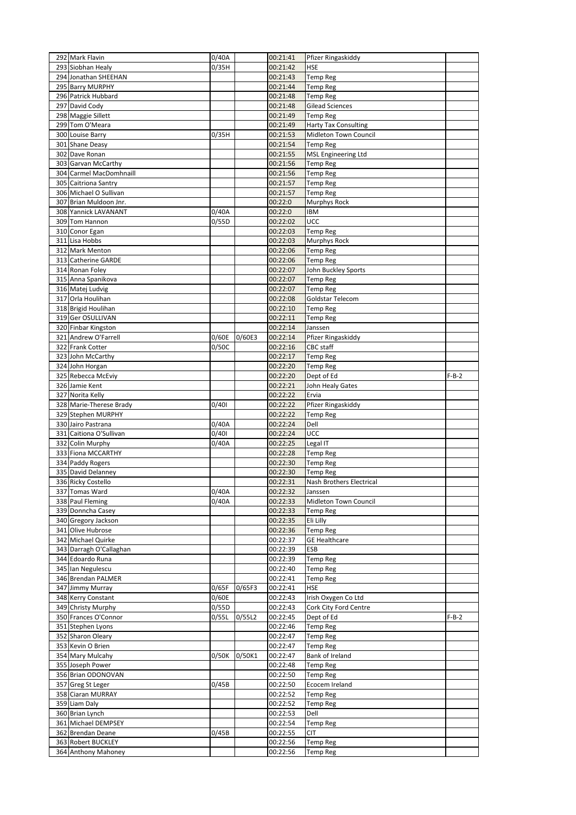| 292 Mark Flavin                               | 0/40A          |        | 00:21:41             | Pfizer Ringaskiddy                  |         |
|-----------------------------------------------|----------------|--------|----------------------|-------------------------------------|---------|
| 293 Siobhan Healy                             | 0/35H          |        | 00:21:42             | <b>HSE</b>                          |         |
| 294 Jonathan SHEEHAN                          |                |        | 00:21:43             | <b>Temp Reg</b>                     |         |
| 295 Barry MURPHY                              |                |        | 00:21:44             | <b>Temp Reg</b>                     |         |
| 296 Patrick Hubbard                           |                |        | 00:21:48             | <b>Temp Reg</b>                     |         |
| 297 David Cody                                |                |        | 00:21:48             | Gilead Sciences                     |         |
| 298 Maggie Sillett                            |                |        | 00:21:49             | <b>Temp Reg</b>                     |         |
| 299 Tom O'Meara                               |                |        | 00:21:49             | <b>Harty Tax Consulting</b>         |         |
| 300 Louise Barry                              | 0/35H          |        | 00:21:53             | Midleton Town Council               |         |
| 301 Shane Deasy                               |                |        | 00:21:54             | <b>Temp Reg</b>                     |         |
| 302 Dave Ronan                                |                |        | 00:21:55             | <b>MSL Engineering Ltd</b>          |         |
| 303 Garvan McCarthy                           |                |        | 00:21:56             | <b>Temp Reg</b>                     |         |
| 304 Carmel MacDomhnaill                       |                |        | 00:21:56             | <b>Temp Reg</b>                     |         |
| 305 Caitriona Santry                          |                |        | 00:21:57             | <b>Temp Reg</b>                     |         |
| 306 Michael O Sullivan                        |                |        | 00:21:57             | <b>Temp Reg</b>                     |         |
| 307 Brian Muldoon Jnr.                        |                |        | 00:22:0              | <b>Murphys Rock</b>                 |         |
| 308 Yannick LAVANANT                          | 0/40A          |        | 00:22:0              | IBM                                 |         |
| 309 Tom Hannon                                | 0/55D          |        | 00:22:02             | <b>UCC</b>                          |         |
| 310 Conor Egan                                |                |        | 00:22:03             | <b>Temp Reg</b>                     |         |
| 311 Lisa Hobbs                                |                |        | 00:22:03             | Murphys Rock                        |         |
| 312 Mark Menton                               |                |        | 00:22:06             | <b>Temp Reg</b>                     |         |
| 313 Catherine GARDE                           |                |        | 00:22:06             | <b>Temp Reg</b>                     |         |
| 314 Ronan Foley                               |                |        | 00:22:07<br>00:22:07 | John Buckley Sports                 |         |
| 315 Anna Spanikova                            |                |        |                      | <b>Temp Reg</b>                     |         |
| 316 Matej Ludvig<br>317 Orla Houlihan         |                |        | 00:22:07<br>00:22:08 | <b>Temp Reg</b><br>Goldstar Telecom |         |
|                                               |                |        |                      |                                     |         |
| 318 Brigid Houlihan<br>319 Ger OSULLIVAN      |                |        | 00:22:10<br>00:22:11 | <b>Temp Reg</b>                     |         |
| 320 Finbar Kingston                           |                |        | 00:22:14             | <b>Temp Reg</b>                     |         |
| 321 Andrew O'Farrell                          |                |        |                      | Janssen                             |         |
| 322 Frank Cotter                              | 0/60E<br>0/50C | 0/60E3 | 00:22:14<br>00:22:16 | Pfizer Ringaskiddy<br>CBC staff     |         |
|                                               |                |        |                      |                                     |         |
| 323 John McCarthy<br>324 John Horgan          |                |        | 00:22:17<br>00:22:20 | <b>Temp Reg</b>                     |         |
| 325 Rebecca McEviy                            |                |        | 00:22:20             | <b>Temp Reg</b><br>Dept of Ed       | $F-B-2$ |
| 326 Jamie Kent                                |                |        | 00:22:21             | John Healy Gates                    |         |
| 327 Norita Kelly                              |                |        | 00:22:22             | Ervia                               |         |
| 328 Marie-Therese Brady                       | 0/401          |        |                      |                                     |         |
|                                               |                |        |                      |                                     |         |
|                                               |                |        | 00:22:22             | Pfizer Ringaskiddy                  |         |
| 329 Stephen MURPHY                            |                |        | 00:22:22             | <b>Temp Reg</b>                     |         |
| 330 Jairo Pastrana                            | 0/40A          |        | 00:22:24             | Dell                                |         |
| 331 Caitiona O'Sullivan                       | 0/401          |        | 00:22:24             | <b>UCC</b>                          |         |
| 332 Colin Murphy                              | 0/40A          |        | 00:22:25             | Legal IT                            |         |
| 333 Fiona MCCARTHY                            |                |        | 00:22:28             | <b>Temp Reg</b>                     |         |
| 334 Paddy Rogers                              |                |        | 00:22:30             | <b>Temp Reg</b>                     |         |
| 335 David Delanney                            |                |        | 00:22:30             | <b>Temp Reg</b>                     |         |
| 336 Ricky Costello                            |                |        | 00:22:31             | Nash Brothers Electrical            |         |
| 337 Tomas Ward                                | 0/40A          |        | 00:22:32             | Janssen                             |         |
| 338 Paul Fleming                              | 0/40A          |        | 00:22:33             | Midleton Town Council               |         |
| 339 Donncha Casey                             |                |        | 00:22:33             | <b>Temp Reg</b>                     |         |
| 340 Gregory Jackson<br>341 Olive Hubrose      |                |        | 00:22:35             | Eli Lilly                           |         |
|                                               |                |        | 00:22:36             | <b>Temp Reg</b>                     |         |
| 342 Michael Quirke<br>343 Darragh O'Callaghan |                |        | 00:22:37<br>00:22:39 | <b>GE Healthcare</b><br>ESB         |         |
| 344 Edoardo Runa                              |                |        | 00:22:39             | <b>Temp Reg</b>                     |         |
| 345 Ian Negulescu                             |                |        | 00:22:40             | <b>Temp Reg</b>                     |         |
| 346 Brendan PALMER                            |                |        | 00:22:41             | <b>Temp Reg</b>                     |         |
| 347 Jimmy Murray                              | 0/65F          | 0/65F3 | 00:22:41             | <b>HSE</b>                          |         |
| 348 Kerry Constant                            | 0/60E          |        | 00:22:43             | Irish Oxygen Co Ltd                 |         |
| 349 Christy Murphy                            | 0/55D          |        | 00:22:43             |                                     |         |
| 350 Frances O'Connor                          | 0/55L          | 0/55L2 | 00:22:45             | Cork City Ford Centre<br>Dept of Ed | $F-B-2$ |
| 351 Stephen Lyons                             |                |        | 00:22:46             | <b>Temp Reg</b>                     |         |
| 352 Sharon Oleary                             |                |        | 00:22:47             | <b>Temp Reg</b>                     |         |
| 353 Kevin O Brien                             |                |        | 00:22:47             | <b>Temp Reg</b>                     |         |
| 354 Mary Mulcahy                              | 0/50K          | 0/50K1 | 00:22:47             | Bank of Ireland                     |         |
| 355 Joseph Power                              |                |        | 00:22:48             | <b>Temp Reg</b>                     |         |
| 356 Brian ODONOVAN                            |                |        | 00:22:50             | <b>Temp Reg</b>                     |         |
| 357 Greg St Leger                             | 0/45B          |        | 00:22:50             | Ecocem Ireland                      |         |
| 358 Ciaran MURRAY                             |                |        | 00:22:52             | <b>Temp Reg</b>                     |         |
| 359 Liam Daly                                 |                |        | 00:22:52             | Temp Reg                            |         |
| 360 Brian Lynch                               |                |        | 00:22:53             | Dell                                |         |
| 361 Michael DEMPSEY                           |                |        | 00:22:54             | <b>Temp Reg</b>                     |         |
| 362 Brendan Deane                             | 0/45B          |        | 00:22:55             | CIT                                 |         |
| 363 Robert BUCKLEY                            |                |        | 00:22:56             | <b>Temp Reg</b>                     |         |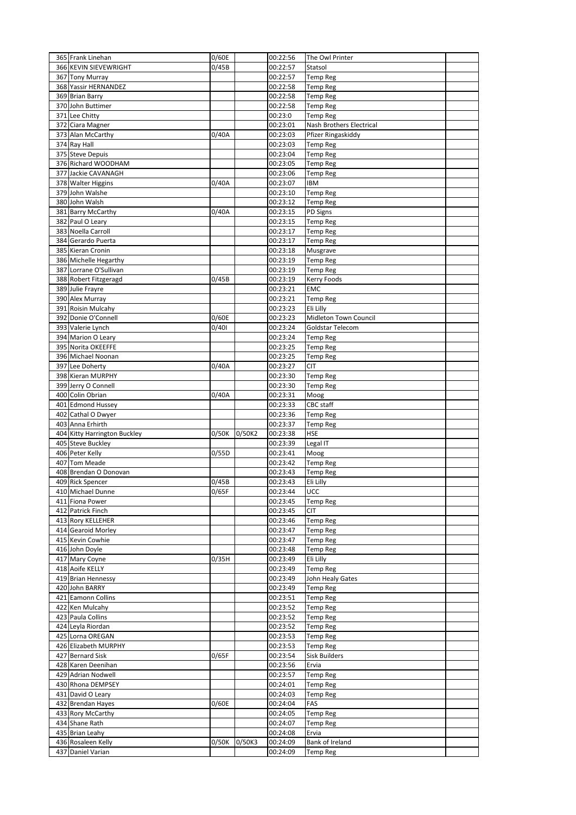| 365 Frank Linehan                       | 0/60E |        | 00:22:56             | The Owl Printer                    |  |
|-----------------------------------------|-------|--------|----------------------|------------------------------------|--|
| 366 KEVIN SIEVEWRIGHT                   | 0/45B |        | 00:22:57             | Statsol                            |  |
| 367 Tony Murray                         |       |        | 00:22:57             | <b>Temp Reg</b>                    |  |
| 368 Yassir HERNANDEZ                    |       |        | 00:22:58             | <b>Temp Reg</b>                    |  |
| 369 Brian Barry                         |       |        | 00:22:58             | <b>Temp Reg</b>                    |  |
| 370 John Buttimer                       |       |        | 00:22:58             | <b>Temp Reg</b>                    |  |
| 371 Lee Chitty                          |       |        | 00:23:0              | <b>Temp Reg</b>                    |  |
| 372 Ciara Magner                        |       |        | 00:23:01             | Nash Brothers Electrical           |  |
| 373 Alan McCarthy                       | 0/40A |        | 00:23:03             | Pfizer Ringaskiddy                 |  |
| 374 Ray Hall                            |       |        | 00:23:03             | <b>Temp Reg</b>                    |  |
| 375 Steve Depuis                        |       |        | 00:23:04             | <b>Temp Reg</b>                    |  |
| 376 Richard WOODHAM                     |       |        | 00:23:05             | <b>Temp Reg</b>                    |  |
| 377 Jackie CAVANAGH                     |       |        | 00:23:06             | <b>Temp Reg</b>                    |  |
| 378 Walter Higgins                      | 0/40A |        | 00:23:07             | IBM                                |  |
| 379 John Walshe                         |       |        | 00:23:10             | Temp Reg                           |  |
| 380 John Walsh                          |       |        | 00:23:12             | <b>Temp Reg</b>                    |  |
| 381 Barry McCarthy                      | 0/40A |        | 00:23:15             | PD Signs                           |  |
| 382 Paul O Leary                        |       |        | 00:23:15             | <b>Temp Reg</b>                    |  |
| 383 Noella Carroll                      |       |        | 00:23:17             | <b>Temp Reg</b>                    |  |
| 384 Gerardo Puerta                      |       |        | 00:23:17             | <b>Temp Reg</b>                    |  |
| 385 Kieran Cronin                       |       |        | 00:23:18             | Musgrave                           |  |
| 386 Michelle Hegarthy                   |       |        | 00:23:19             | <b>Temp Reg</b>                    |  |
| 387 Lorrane O'Sullivan                  |       |        | 00:23:19             | <b>Temp Reg</b>                    |  |
| 388 Robert Fitzgeragd                   | 0/45B |        | 00:23:19             | Kerry Foods                        |  |
| 389 Julie Frayre                        |       |        | 00:23:21             | EMC                                |  |
| 390 Alex Murray                         |       |        | 00:23:21             | <b>Temp Reg</b>                    |  |
| 391 Roisin Mulcahy                      |       |        | 00:23:23             | Eli Lilly                          |  |
| 392 Donie O'Connell                     | 0/60E |        | 00:23:23             | Midleton Town Council              |  |
| 393 Valerie Lynch                       | 0/401 |        | 00:23:24             | Goldstar Telecom                   |  |
| 394 Marion O Leary                      |       |        | 00:23:24             | <b>Temp Reg</b>                    |  |
| 395 Norita OKEEFFE                      |       |        | 00:23:25             | <b>Temp Reg</b>                    |  |
| 396 Michael Noonan                      |       |        | 00:23:25             | <b>Temp Reg</b>                    |  |
| 397 Lee Doherty                         | 0/40A |        | 00:23:27             | CIT                                |  |
| 398 Kieran MURPHY                       |       |        | 00:23:30             |                                    |  |
| 399 Jerry O Connell                     |       |        | 00:23:30             | <b>Temp Reg</b><br><b>Temp Reg</b> |  |
| 400 Colin Obrian                        | 0/40A |        | 00:23:31             | Moog                               |  |
|                                         |       |        |                      |                                    |  |
|                                         |       |        |                      |                                    |  |
| 401 Edmond Hussey                       |       |        | 00:23:33             | CBC staff                          |  |
| 402 Cathal O Dwyer                      |       |        | 00:23:36             | <b>Temp Reg</b>                    |  |
| 403 Anna Erhirth                        |       |        | 00:23:37             | Temp Reg                           |  |
| 404 Kitty Harrington Buckley            | 0/50K | 0/50K2 | 00:23:38             | HSE                                |  |
| 405 Steve Buckley                       |       |        | 00:23:39             | Legal IT                           |  |
| 406 Peter Kelly                         | 0/55D |        | 00:23:41             | Moog                               |  |
| 407 Tom Meade                           |       |        | 00:23:42             | <b>Temp Reg</b>                    |  |
| 408 Brendan O Donovan                   |       |        | 00:23:43             | <b>Temp Reg</b>                    |  |
| 409 Rick Spencer                        | 0/45B |        | 00:23:43             | Eli Lilly                          |  |
| 410 Michael Dunne                       | 0/65F |        | 00:23:44             | <b>UCC</b>                         |  |
| 411 Fiona Power                         |       |        | 00:23:45             | <b>Temp Reg</b>                    |  |
| 412 Patrick Finch                       |       |        | 00:23:45             | <b>CIT</b>                         |  |
| 413 Rory KELLEHER                       |       |        | 00:23:46             | <b>Temp Reg</b>                    |  |
| 414 Gearoid Morley                      |       |        | 00:23:47             | <b>Temp Reg</b>                    |  |
| 415 Kevin Cowhie                        |       |        | 00:23:47             | <b>Temp Reg</b>                    |  |
| 416 John Doyle                          |       |        | 00:23:48             | <b>Temp Reg</b>                    |  |
| 417 Mary Coyne                          | 0/35H |        | 00:23:49             | Eli Lilly                          |  |
| 418 Aoife KELLY                         |       |        | 00:23:49             | <b>Temp Reg</b>                    |  |
| 419 Brian Hennessy                      |       |        | 00:23:49             | John Healy Gates                   |  |
| 420 John BARRY                          |       |        | 00:23:49             | <b>Temp Reg</b>                    |  |
| 421 Eamonn Collins                      |       |        | 00:23:51             | <b>Temp Reg</b>                    |  |
| 422 Ken Mulcahy                         |       |        | 00:23:52             | <b>Temp Reg</b>                    |  |
| 423 Paula Collins                       |       |        | 00:23:52             | <b>Temp Reg</b>                    |  |
| 424 Leyla Riordan                       |       |        | 00:23:52             | <b>Temp Reg</b>                    |  |
| 425 Lorna OREGAN                        |       |        | 00:23:53             | <b>Temp Reg</b>                    |  |
| 426 Elizabeth MURPHY                    |       |        | 00:23:53             | <b>Temp Reg</b>                    |  |
| 427 Bernard Sisk                        | 0/65F |        | 00:23:54             | <b>Sisk Builders</b>               |  |
| 428 Karen Deenihan                      |       |        | 00:23:56             | Ervia                              |  |
| 429 Adrian Nodwell                      |       |        | 00:23:57             | <b>Temp Reg</b>                    |  |
| 430 Rhona DEMPSEY                       |       |        | 00:24:01             | <b>Temp Reg</b>                    |  |
| 431 David O Leary                       |       |        | 00:24:03             | <b>Temp Reg</b>                    |  |
| 432 Brendan Hayes                       | 0/60E |        | 00:24:04             | FAS                                |  |
| 433 Rory McCarthy                       |       |        | 00:24:05             | <b>Temp Reg</b>                    |  |
| 434 Shane Rath                          |       |        | 00:24:07             | Temp Reg                           |  |
| 435 Brian Leahy                         |       |        | 00:24:08             | Ervia                              |  |
| 436 Rosaleen Kelly<br>437 Daniel Varian | 0/50K | 0/50K3 | 00:24:09<br>00:24:09 | Bank of Ireland<br><b>Temp Reg</b> |  |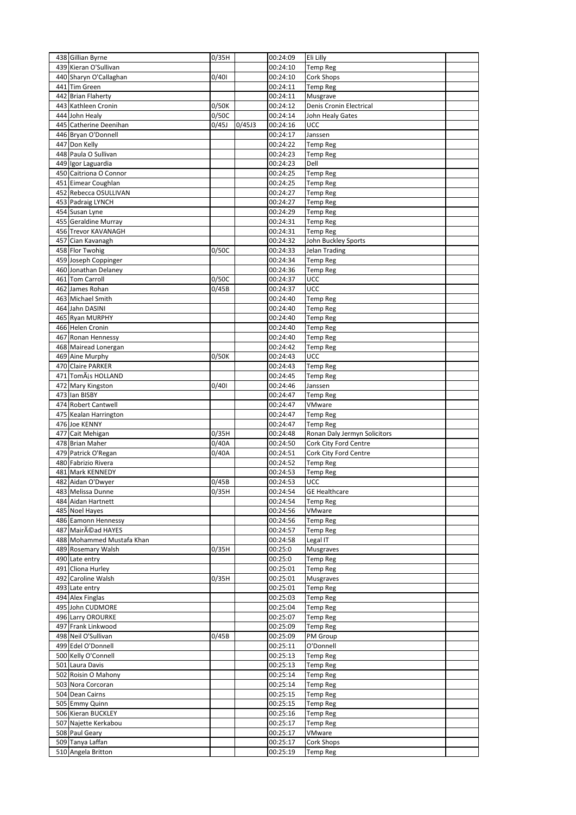| 438 Gillian Byrne                      | 0/35H |        | 00:24:09             | Eli Lilly                     |  |
|----------------------------------------|-------|--------|----------------------|-------------------------------|--|
| 439 Kieran O'Sullivan                  |       |        | 00:24:10             | <b>Temp Reg</b>               |  |
| 440 Sharyn O'Callaghan                 | 0/401 |        | 00:24:10             | Cork Shops                    |  |
| 441 Tim Green                          |       |        | 00:24:11             | <b>Temp Reg</b>               |  |
| 442 Brian Flaherty                     |       |        | 00:24:11             | Musgrave                      |  |
| 443 Kathleen Cronin                    | 0/50K |        | 00:24:12             | Denis Cronin Electrical       |  |
| 444 John Healy                         | 0/50C |        | 00:24:14             | John Healy Gates              |  |
| 445 Catherine Deenihan                 | 0/45J | 0/45J3 | 00:24:16             | UCC                           |  |
| 446 Bryan O'Donnell                    |       |        | 00:24:17             | Janssen                       |  |
| 447 Don Kelly                          |       |        | 00:24:22             | <b>Temp Reg</b>               |  |
| 448 Paula O Sullivan                   |       |        | 00:24:23             | <b>Temp Reg</b>               |  |
| 449 Igor Laguardia                     |       |        | 00:24:23             | Dell                          |  |
| 450 Caitriona O Connor                 |       |        | 00:24:25             | Temp Reg                      |  |
| 451 Eimear Coughlan                    |       |        | 00:24:25             | <b>Temp Reg</b>               |  |
| 452 Rebecca OSULLIVAN                  |       |        | 00:24:27             | <b>Temp Reg</b>               |  |
| 453 Padraig LYNCH                      |       |        | 00:24:27             | <b>Temp Reg</b>               |  |
| 454 Susan Lyne                         |       |        | 00:24:29             | <b>Temp Reg</b>               |  |
| 455 Geraldine Murray                   |       |        | 00:24:31             | <b>Temp Reg</b>               |  |
| 456 Trevor KAVANAGH                    |       |        | 00:24:31             | <b>Temp Reg</b>               |  |
| 457 Cian Kavanagh                      |       |        | 00:24:32             | John Buckley Sports           |  |
| 458 Flor Twohig                        | 0/50C |        | 00:24:33             | Jelan Trading                 |  |
| 459 Joseph Coppinger                   |       |        | 00:24:34             | <b>Temp Reg</b>               |  |
| 460 Jonathan Delaney                   |       |        | 00:24:36             | Temp Reg                      |  |
| 461 Tom Carroll                        | 0/50C |        | 00:24:37             | UCC                           |  |
| 462 James Rohan                        | 0/45B |        | 00:24:37             | UCC                           |  |
| 463 Michael Smith                      |       |        | 00:24:40             | <b>Temp Reg</b>               |  |
| 464 Jahn DASINI                        |       |        | 00:24:40             | <b>Temp Reg</b>               |  |
| 465 Ryan MURPHY                        |       |        | 00:24:40             | <b>Temp Reg</b>               |  |
| 466 Helen Cronin                       |       |        | 00:24:40             | <b>Temp Reg</b>               |  |
| 467 Ronan Hennessy                     |       |        | 00:24:40             | <b>Temp Reg</b>               |  |
| 468 Mairead Lonergan                   |       |        | 00:24:42             | <b>Temp Reg</b>               |  |
| 469 Aine Murphy                        | 0/50K |        | 00:24:43             | UCC                           |  |
| 470 Claire PARKER                      |       |        | 00:24:43             | <b>Temp Reg</b>               |  |
| 471 TomÃis HOLLAND                     |       |        | 00:24:45             | <b>Temp Reg</b>               |  |
| 472 Mary Kingston                      | 0/401 |        | 00:24:46             | Janssen                       |  |
| 473 Ian BISBY                          |       |        | 00:24:47             | <b>Temp Reg</b>               |  |
| 474 Robert Cantwell                    |       |        | 00:24:47             | VMware                        |  |
| 475 Kealan Harrington                  |       |        | 00:24:47             | <b>Temp Reg</b>               |  |
| 476 Joe KENNY                          |       |        | 00:24:47             | <b>Temp Reg</b>               |  |
| 477 Cait Mehigan                       | 0/35H |        | 00:24:48             | Ronan Daly Jermyn Solicitors  |  |
| 478 Brian Maher                        | 0/40A |        | 00:24:50             | Cork City Ford Centre         |  |
| 479 Patrick O'Regan                    | 0/40A |        | 00:24:51             | Cork City Ford Centre         |  |
| 480 Fabrizio Rivera                    |       |        | 00:24:52             | <b>Temp Reg</b>               |  |
| 481 Mark KENNEDY                       |       |        | 00:24:53             | <b>Temp Reg</b>               |  |
| 482 Aidan O'Dwyer                      | 0/45B |        | 00:24:53             | UCC                           |  |
| 483 Melissa Dunne                      | 0/35H |        | 00:24:54             | <b>GE Healthcare</b>          |  |
| 484 Aidan Hartnett                     |       |        | 00:24:54             | <b>Temp Reg</b>               |  |
| 485 Noel Hayes                         |       |        | 00:24:56             | VMware                        |  |
| 486 Eamonn Hennessy                    |       |        | 00:24:56             | <b>Temp Reg</b>               |  |
| 487 Mairéad HAYES                      |       |        | 00:24:57             | <b>Temp Reg</b>               |  |
| 488 Mohammed Mustafa Khan              |       |        | 00:24:58             | Legal IT                      |  |
| 489 Rosemary Walsh                     | 0/35H |        | 00:25:0              | Musgraves                     |  |
| 490 Late entry                         |       |        | 00:25:0              | <b>Temp Reg</b>               |  |
| 491 Cliona Hurley                      |       |        | 00:25:01             | <b>Temp Reg</b>               |  |
| 492 Caroline Walsh                     | 0/35H |        | 00:25:01             | Musgraves                     |  |
| 493 Late entry                         |       |        | 00:25:01             | <b>Temp Reg</b>               |  |
| 494 Alex Finglas                       |       |        | 00:25:03             | <b>Temp Reg</b>               |  |
| 495 John CUDMORE                       |       |        | 00:25:04             | <b>Temp Reg</b>               |  |
| 496 Larry OROURKE                      |       |        | 00:25:07             | <b>Temp Reg</b>               |  |
| 497 Frank Linkwood                     |       |        | 00:25:09             | <b>Temp Reg</b>               |  |
| 498 Neil O'Sullivan                    | 0/45B |        | 00:25:09             | PM Group                      |  |
| 499 Edel O'Donnell                     |       |        | 00:25:11             | O'Donnell                     |  |
| 500 Kelly O'Connell                    |       |        | 00:25:13             | <b>Temp Reg</b>               |  |
| 501 Laura Davis                        |       |        | 00:25:13             | <b>Temp Reg</b>               |  |
| 502 Roisin O Mahony                    |       |        | 00:25:14             | <b>Temp Reg</b>               |  |
| 503 Nora Corcoran                      |       |        | 00:25:14             | <b>Temp Reg</b>               |  |
| 504 Dean Cairns                        |       |        | 00:25:15             | <b>Temp Reg</b>               |  |
| 505 Emmy Quinn                         |       |        | 00:25:15             | <b>Temp Reg</b>               |  |
| 506 Kieran BUCKLEY                     |       |        | 00:25:16             | <b>Temp Reg</b>               |  |
|                                        |       |        |                      |                               |  |
| 507 Najette Kerkabou                   |       |        | 00:25:17             | Temp Reg                      |  |
| 508 Paul Geary                         |       |        | 00:25:17             | VMware                        |  |
| 509 Tanya Laffan<br>510 Angela Britton |       |        | 00:25:17<br>00:25:19 | Cork Shops<br><b>Temp Reg</b> |  |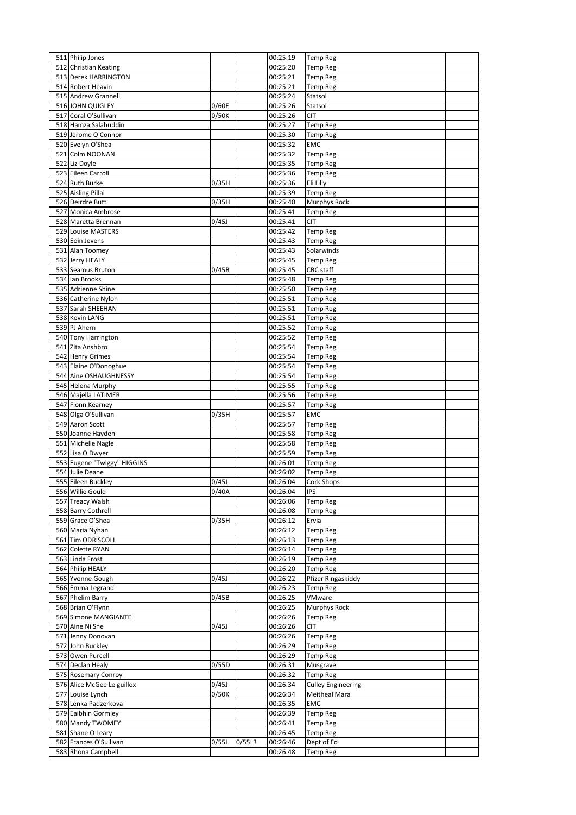| 511 Philip Jones                               |       |        | 00:25:19             | <b>Temp Reg</b>                        |  |
|------------------------------------------------|-------|--------|----------------------|----------------------------------------|--|
| 512 Christian Keating                          |       |        | 00:25:20             | <b>Temp Reg</b>                        |  |
| 513 Derek HARRINGTON                           |       |        | 00:25:21             | <b>Temp Reg</b>                        |  |
| 514 Robert Heavin                              |       |        | 00:25:21             | <b>Temp Reg</b>                        |  |
| 515 Andrew Grannell                            |       |        | 00:25:24             | Statsol                                |  |
| 516 JOHN QUIGLEY                               | 0/60E |        | 00:25:26             | Statsol                                |  |
| 517 Coral O'Sullivan                           | 0/50K |        | 00:25:26             | <b>CIT</b>                             |  |
| 518 Hamza Salahuddin                           |       |        | 00:25:27             | <b>Temp Reg</b>                        |  |
| 519 Jerome O Connor                            |       |        | 00:25:30             | <b>Temp Reg</b>                        |  |
| 520 Evelyn O'Shea                              |       |        | 00:25:32             | <b>EMC</b>                             |  |
| 521 Colm NOONAN                                |       |        | 00:25:32             | <b>Temp Reg</b>                        |  |
| 522 Liz Doyle                                  |       |        | 00:25:35             | <b>Temp Reg</b>                        |  |
| 523 Eileen Carroll<br>524 Ruth Burke           |       |        | 00:25:36<br>00:25:36 | <b>Temp Reg</b>                        |  |
|                                                | 0/35H |        |                      | Eli Lilly                              |  |
| 525 Aisling Pillai<br>526 Deirdre Butt         | 0/35H |        | 00:25:39<br>00:25:40 | <b>Temp Reg</b><br><b>Murphys Rock</b> |  |
| 527 Monica Ambrose                             |       |        | 00:25:41             | <b>Temp Reg</b>                        |  |
| 528 Maretta Brennan                            | 0/45J |        | 00:25:41             | CIT                                    |  |
| 529 Louise MASTERS                             |       |        | 00:25:42             | <b>Temp Reg</b>                        |  |
| 530 Eoin Jevens                                |       |        | 00:25:43             | <b>Temp Reg</b>                        |  |
| 531 Alan Toomey                                |       |        | 00:25:43             | Solarwinds                             |  |
| 532 Jerry HEALY                                |       |        | 00:25:45             | <b>Temp Reg</b>                        |  |
| 533 Seamus Bruton                              | 0/45B |        | 00:25:45             | CBC staff                              |  |
| 534 Ian Brooks                                 |       |        | 00:25:48             | Temp Reg                               |  |
| 535 Adrienne Shine                             |       |        | 00:25:50             | <b>Temp Reg</b>                        |  |
| 536 Catherine Nylon                            |       |        | 00:25:51             | <b>Temp Reg</b>                        |  |
| 537 Sarah SHEEHAN                              |       |        | 00:25:51             | <b>Temp Reg</b>                        |  |
| 538 Kevin LANG                                 |       |        | 00:25:51             | <b>Temp Reg</b>                        |  |
| 539 PJ Ahern                                   |       |        | 00:25:52             | <b>Temp Reg</b>                        |  |
| 540 Tony Harrington                            |       |        | 00:25:52             | Temp Reg                               |  |
| 541 Zita Anshbro                               |       |        | 00:25:54             | <b>Temp Reg</b>                        |  |
| 542 Henry Grimes                               |       |        | 00:25:54             | <b>Temp Reg</b>                        |  |
| 543 Elaine O'Donoghue                          |       |        | 00:25:54             | <b>Temp Reg</b>                        |  |
| 544 Aine OSHAUGHNESSY                          |       |        | 00:25:54             | <b>Temp Reg</b>                        |  |
| 545 Helena Murphy                              |       |        | 00:25:55             | <b>Temp Reg</b>                        |  |
| 546 Majella LATIMER                            |       |        | 00:25:56             | <b>Temp Reg</b>                        |  |
| 547 Fionn Kearney                              |       |        | 00:25:57             | <b>Temp Reg</b>                        |  |
| 548 Olga O'Sullivan                            | 0/35H |        | 00:25:57             | <b>EMC</b>                             |  |
| 549 Aaron Scott                                |       |        | 00:25:57             | <b>Temp Reg</b>                        |  |
| 550 Joanne Hayden                              |       |        | 00:25:58             | <b>Temp Reg</b>                        |  |
| 551 Michelle Nagle                             |       |        | 00:25:58             | <b>Temp Reg</b>                        |  |
| 552 Lisa O Dwyer                               |       |        | 00:25:59             | Temp Reg                               |  |
| 553 Eugene "Twiggy" HIGGINS<br>554 Julie Deane |       |        | 00:26:01<br>00:26:02 | <b>Temp Reg</b>                        |  |
| 555 Eileen Buckley                             | 0/45J |        | 00:26:04             | <b>Temp Reg</b><br><b>Cork Shops</b>   |  |
| 556 Willie Gould                               | 0/40A |        | 00:26:04             | <b>IPS</b>                             |  |
| 557 Treacy Walsh                               |       |        | 00:26:06             | <b>Temp Reg</b>                        |  |
| 558 Barry Cothrell                             |       |        | 00:26:08             | <b>Temp Reg</b>                        |  |
| 559 Grace O'Shea                               | 0/35H |        | 00:26:12             | Ervia                                  |  |
| 560 Maria Nyhan                                |       |        | 00:26:12             | <b>Temp Reg</b>                        |  |
| 561 Tim ODRISCOLL                              |       |        | 00:26:13             | <b>Temp Reg</b>                        |  |
| 562 Colette RYAN                               |       |        | 00:26:14             | <b>Temp Reg</b>                        |  |
| 563 Linda Frost                                |       |        | 00:26:19             | <b>Temp Reg</b>                        |  |
| 564 Philip HEALY                               |       |        | 00:26:20             | <b>Temp Reg</b>                        |  |
| 565 Yvonne Gough                               | 0/45J |        | 00:26:22             | Pfizer Ringaskiddy                     |  |
| 566 Emma Legrand                               |       |        | 00:26:23             | <b>Temp Reg</b>                        |  |
| 567 Phelim Barry                               | 0/45B |        | 00:26:25             | VMware                                 |  |
| 568 Brian O'Flynn                              |       |        | 00:26:25             | <b>Murphys Rock</b>                    |  |
| 569 Simone MANGIANTE                           |       |        | 00:26:26             | <b>Temp Reg</b>                        |  |
| 570 Aine Ni She                                | 0/45J |        | 00:26:26             | <b>CIT</b>                             |  |
| 571 Jenny Donovan                              |       |        | 00:26:26             | <b>Temp Reg</b>                        |  |
| 572 John Buckley                               |       |        | 00:26:29             | <b>Temp Reg</b>                        |  |
| 573 Owen Purcell                               |       |        | 00:26:29             | <b>Temp Reg</b>                        |  |
| 574 Declan Healy                               | 0/55D |        | 00:26:31             | Musgrave                               |  |
| 575 Rosemary Conroy                            |       |        | 00:26:32             | <b>Temp Reg</b>                        |  |
| 576 Alice McGee Le guillox                     | 0/45J |        | 00:26:34             | <b>Culley Engineering</b>              |  |
| 577 Louise Lynch                               | 0/50K |        | 00:26:34             | Meitheal Mara                          |  |
| 578 Lenka Padzerkova                           |       |        | 00:26:35             | EMC                                    |  |
| 579 Eaibhin Gormley<br>580 Mandy TWOMEY        |       |        | 00:26:39<br>00:26:41 | <b>Temp Reg</b><br><b>Temp Reg</b>     |  |
| 581 Shane O Leary                              |       |        | 00:26:45             | Temp Reg                               |  |
| 582 Frances O'Sullivan                         | 0/55L | 0/55L3 | 00:26:46             | Dept of Ed                             |  |
| 583 Rhona Campbell                             |       |        | 00:26:48             | <b>Temp Reg</b>                        |  |
|                                                |       |        |                      |                                        |  |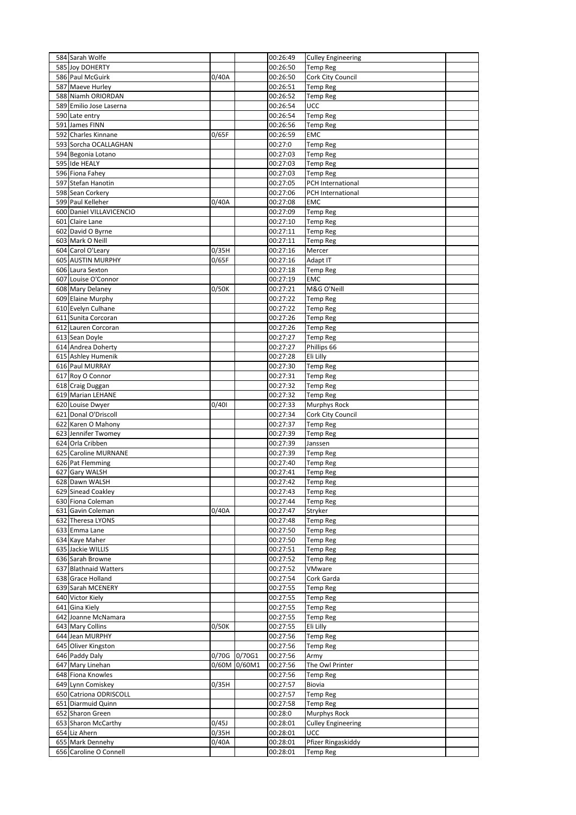| 584 Sarah Wolfe                            |       |        | 00:26:49             | <b>Culley Engineering</b>             |  |
|--------------------------------------------|-------|--------|----------------------|---------------------------------------|--|
| 585 Joy DOHERTY                            |       |        | 00:26:50             | <b>Temp Reg</b>                       |  |
| 586 Paul McGuirk                           | 0/40A |        | 00:26:50             | Cork City Council                     |  |
| 587 Maeve Hurley                           |       |        | 00:26:51             | <b>Temp Reg</b>                       |  |
| 588 Niamh ORIORDAN                         |       |        | 00:26:52             | <b>Temp Reg</b>                       |  |
| 589 Emilio Jose Laserna                    |       |        | 00:26:54<br>00:26:54 | <b>UCC</b>                            |  |
| 590 Late entry<br>591 James FINN           |       |        | 00:26:56             | <b>Temp Reg</b><br>Temp Reg           |  |
| 592 Charles Kinnane                        | 0/65F |        | 00:26:59             | <b>EMC</b>                            |  |
| 593 Sorcha OCALLAGHAN                      |       |        | 00:27:0              | <b>Temp Reg</b>                       |  |
| 594 Begonia Lotano                         |       |        | 00:27:03             | <b>Temp Reg</b>                       |  |
| 595 Ide HEALY                              |       |        | 00:27:03             | <b>Temp Reg</b>                       |  |
| 596 Fiona Fahey                            |       |        | 00:27:03             | <b>Temp Reg</b>                       |  |
| 597 Stefan Hanotin                         |       |        | 00:27:05             | PCH International                     |  |
| 598 Sean Corkery                           |       |        | 00:27:06             | PCH International                     |  |
| 599 Paul Kelleher                          | 0/40A |        | 00:27:08             | EMC                                   |  |
| 600 Daniel VILLAVICENCIO                   |       |        | 00:27:09             | <b>Temp Reg</b>                       |  |
| 601 Claire Lane                            |       |        | 00:27:10             | <b>Temp Reg</b>                       |  |
| 602 David O Byrne                          |       |        | 00:27:11             | <b>Temp Reg</b>                       |  |
| 603 Mark O Neill                           |       |        | 00:27:11             | <b>Temp Reg</b>                       |  |
| 604 Carol O'Leary                          | 0/35H |        | 00:27:16             | Mercer                                |  |
| 605 AUSTIN MURPHY                          | 0/65F |        | 00:27:16             | Adapt IT                              |  |
| 606 Laura Sexton                           |       |        | 00:27:18             | <b>Temp Reg</b>                       |  |
| 607 Louise O'Connor                        |       |        | 00:27:19             | <b>EMC</b>                            |  |
| 608 Mary Delaney<br>609 Elaine Murphy      | 0/50K |        | 00:27:21<br>00:27:22 | M&G O'Neill<br><b>Temp Reg</b>        |  |
| 610 Evelyn Culhane                         |       |        | 00:27:22             | <b>Temp Reg</b>                       |  |
| 611 Sunita Corcoran                        |       |        | 00:27:26             | <b>Temp Reg</b>                       |  |
| 612 Lauren Corcoran                        |       |        | 00:27:26             | <b>Temp Reg</b>                       |  |
| 613 Sean Doyle                             |       |        | 00:27:27             | <b>Temp Reg</b>                       |  |
| 614 Andrea Doherty                         |       |        | 00:27:27             | Phillips 66                           |  |
| 615 Ashley Humenik                         |       |        | 00:27:28             | Eli Lilly                             |  |
| 616 Paul MURRAY                            |       |        | 00:27:30             | <b>Temp Reg</b>                       |  |
| 617 Roy O Connor                           |       |        | 00:27:31             | <b>Temp Reg</b>                       |  |
| 618 Craig Duggan                           |       |        | 00:27:32             | <b>Temp Reg</b>                       |  |
| 619 Marian LEHANE                          |       |        | 00:27:32             | Temp Reg                              |  |
| 620 Louise Dwyer                           | 0/401 |        | 00:27:33             | <b>Murphys Rock</b>                   |  |
| 621 Donal O'Driscoll                       |       |        | 00:27:34             | Cork City Council                     |  |
| 622 Karen O Mahony                         |       |        | 00:27:37             | Temp Reg                              |  |
| 623 Jennifer Twomey                        |       |        | 00:27:39             | <b>Temp Reg</b>                       |  |
| 624 Orla Cribben<br>625 Caroline MURNANE   |       |        | 00:27:39<br>00:27:39 | Janssen<br>Temp Reg                   |  |
| 626 Pat Flemming                           |       |        | 00:27:40             | <b>Temp Reg</b>                       |  |
| 627 Gary WALSH                             |       |        | 00:27:41             | <b>Temp Reg</b>                       |  |
| 628 Dawn WALSH                             |       |        | 00:27:42             | <b>Temp Reg</b>                       |  |
| 629 Sinead Coakley                         |       |        | 00:27:43             | <b>Temp Reg</b>                       |  |
| 630 Fiona Coleman                          |       |        | 00:27:44             | <b>Temp Reg</b>                       |  |
| 631 Gavin Coleman                          | 0/40A |        | 00:27:47             | Stryker                               |  |
| 632 Theresa LYONS                          |       |        | 00:27:48             | <b>Temp Reg</b>                       |  |
| 633 Emma Lane                              |       |        | 00:27:50             | Temp Reg                              |  |
| 634 Kaye Maher                             |       |        | 00:27:50             | <b>Temp Reg</b>                       |  |
| 635 Jackie WILLIS                          |       |        | 00:27:51             | <b>Temp Reg</b>                       |  |
| 636 Sarah Browne<br>637 Blathnaid Watters  |       |        | 00:27:52<br>00:27:52 | <b>Temp Reg</b>                       |  |
| 638 Grace Holland                          |       |        | 00:27:54             | VMware                                |  |
| 639 Sarah MCENERY                          |       |        | 00:27:55             | Cork Garda<br><b>Temp Reg</b>         |  |
| 640 Victor Kiely                           |       |        | 00:27:55             | <b>Temp Reg</b>                       |  |
| 641 Gina Kiely                             |       |        | 00:27:55             | <b>Temp Reg</b>                       |  |
| 642 Joanne McNamara                        |       |        | 00:27:55             | Temp Reg                              |  |
| 643 Mary Collins                           | 0/50K |        | 00:27:55             | Eli Lilly                             |  |
| 644 Jean MURPHY                            |       |        | 00:27:56             | <b>Temp Reg</b>                       |  |
| 645 Oliver Kingston                        |       |        | 00:27:56             | <b>Temp Reg</b>                       |  |
|                                            | 0/70G | 0/70G1 | 00:27:56             | Army                                  |  |
| 646 Paddy Daly                             |       |        |                      |                                       |  |
| 647 Mary Linehan                           | 0/60M | 0/60M1 | 00:27:56             | The Owl Printer                       |  |
| 648 Fiona Knowles                          |       |        | 00:27:56             | <b>Temp Reg</b>                       |  |
| 649 Lynn Comiskey                          | 0/35H |        | 00:27:57             | Biovia                                |  |
| 650 Catriona ODRISCOLL                     |       |        | 00:27:57             | <b>Temp Reg</b>                       |  |
| 651 Diarmuid Quinn                         |       |        | 00:27:58             | <b>Temp Reg</b>                       |  |
| 652 Sharon Green                           |       |        | 00:28:0              | <b>Murphys Rock</b>                   |  |
| 653 Sharon McCarthy                        | 0/45J |        | 00:28:01             | <b>Culley Engineering</b>             |  |
| 654 Liz Ahern                              | 0/35H |        | 00:28:01             | UCC                                   |  |
| 655 Mark Dennehy<br>656 Caroline O Connell | 0/40A |        | 00:28:01<br>00:28:01 | Pfizer Ringaskiddy<br><b>Temp Reg</b> |  |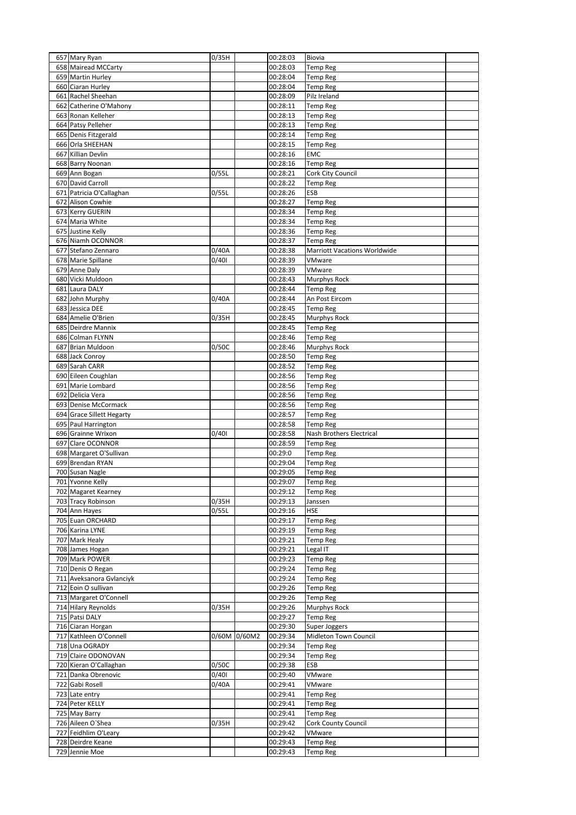| 657 Mary Ryan                       | 0/35H |              | 00:28:03             | Biovia                              |  |
|-------------------------------------|-------|--------------|----------------------|-------------------------------------|--|
| 658 Mairead MCCarty                 |       |              | 00:28:03             | <b>Temp Reg</b>                     |  |
|                                     |       |              |                      |                                     |  |
| 659 Martin Hurley                   |       |              | 00:28:04             | <b>Temp Reg</b>                     |  |
| 660 Ciaran Hurley                   |       |              | 00:28:04             | <b>Temp Reg</b>                     |  |
| 661 Rachel Sheehan                  |       |              | 00:28:09             | Pilz Ireland                        |  |
| 662 Catherine O'Mahony              |       |              | 00:28:11             | <b>Temp Reg</b>                     |  |
| 663 Ronan Kelleher                  |       |              | 00:28:13             | <b>Temp Reg</b>                     |  |
| 664 Patsy Pelleher                  |       |              | 00:28:13             | <b>Temp Reg</b>                     |  |
| 665 Denis Fitzgerald                |       |              | 00:28:14             | <b>Temp Reg</b>                     |  |
|                                     |       |              |                      |                                     |  |
| 666 Orla SHEEHAN                    |       |              | 00:28:15             | <b>Temp Reg</b>                     |  |
| 667 Killian Devlin                  |       |              | 00:28:16             | <b>EMC</b>                          |  |
| 668 Barry Noonan                    |       |              | 00:28:16             | <b>Temp Reg</b>                     |  |
| 669 Ann Bogan                       | 0/55L |              | 00:28:21             | Cork City Council                   |  |
| 670 David Carroll                   |       |              | 00:28:22             | <b>Temp Reg</b>                     |  |
| 671 Patricia O'Callaghan            | 0/55L |              | 00:28:26             | ESB                                 |  |
| 672 Alison Cowhie                   |       |              | 00:28:27             | <b>Temp Reg</b>                     |  |
| 673 Kerry GUERIN                    |       |              | 00:28:34             | <b>Temp Reg</b>                     |  |
|                                     |       |              |                      |                                     |  |
| 674 Maria White                     |       |              | 00:28:34             | <b>Temp Reg</b>                     |  |
| 675 Justine Kelly                   |       |              | 00:28:36             | <b>Temp Reg</b>                     |  |
| 676 Niamh OCONNOR                   |       |              | 00:28:37             | <b>Temp Reg</b>                     |  |
| 677 Stefano Zennaro                 | 0/40A |              | 00:28:38             | <b>Marriott Vacations Worldwide</b> |  |
| 678 Marie Spillane                  | 0/401 |              | 00:28:39             | VMware                              |  |
| 679 Anne Daly                       |       |              | 00:28:39             | VMware                              |  |
| 680 Vicki Muldoon                   |       |              | 00:28:43             |                                     |  |
|                                     |       |              |                      | <b>Murphys Rock</b>                 |  |
| 681 Laura DALY                      |       |              | 00:28:44             | <b>Temp Reg</b>                     |  |
| 682 John Murphy                     | 0/40A |              | 00:28:44             | An Post Eircom                      |  |
| 683 Jessica DEE                     |       |              | 00:28:45             | <b>Temp Reg</b>                     |  |
| 684 Amelie O'Brien                  | 0/35H |              | 00:28:45             | Murphys Rock                        |  |
| 685 Deirdre Mannix                  |       |              | 00:28:45             | <b>Temp Reg</b>                     |  |
| 686 Colman FLYNN                    |       |              | 00:28:46             | Temp Reg                            |  |
|                                     |       |              |                      |                                     |  |
| 687 Brian Muldoon                   | 0/50C |              | 00:28:46             | <b>Murphys Rock</b>                 |  |
| 688 Jack Conroy                     |       |              | 00:28:50             | <b>Temp Reg</b>                     |  |
| 689 Sarah CARR                      |       |              | 00:28:52             | <b>Temp Reg</b>                     |  |
| 690 Eileen Coughlan                 |       |              | 00:28:56             | <b>Temp Reg</b>                     |  |
| 691 Marie Lombard                   |       |              | 00:28:56             | <b>Temp Reg</b>                     |  |
| 692 Delicia Vera                    |       |              | 00:28:56             | <b>Temp Reg</b>                     |  |
| 693 Denise McCormack                |       |              | 00:28:56             |                                     |  |
|                                     |       |              |                      | <b>Temp Reg</b>                     |  |
| 694 Grace Sillett Hegarty           |       |              | 00:28:57             | <b>Temp Reg</b>                     |  |
| 695 Paul Harrington                 |       |              | 00:28:58             | <b>Temp Reg</b>                     |  |
| 696 Grainne Wrixon                  | 0/401 |              | 00:28:58             | Nash Brothers Electrical            |  |
| 697 Clare OCONNOR                   |       |              | 00:28:59             | <b>Temp Reg</b>                     |  |
| 698 Margaret O'Sullivan             |       |              | 00:29:0              | <b>Temp Reg</b>                     |  |
| 699 Brendan RYAN                    |       |              | 00:29:04             | <b>Temp Reg</b>                     |  |
| 700 Susan Nagle                     |       |              | 00:29:05             | <b>Temp Reg</b>                     |  |
|                                     |       |              |                      |                                     |  |
| 701 Yvonne Kelly                    |       |              | 00:29:07             | Temp Reg                            |  |
| 702 Magaret Kearney                 |       |              | 00:29:12             | <b>Temp Reg</b>                     |  |
| 703 Tracy Robinson                  | 0/35H |              | 00:29:13             | Janssen                             |  |
| 704 Ann Hayes                       | 0/55L |              | 00:29:16             | <b>HSE</b>                          |  |
| 705 Euan ORCHARD                    |       |              | 00:29:17             | <b>Temp Reg</b>                     |  |
| 706 Karina LYNE                     |       |              | 00:29:19             | <b>Temp Reg</b>                     |  |
| 707 Mark Healy                      |       |              | 00:29:21             |                                     |  |
|                                     |       |              |                      | <b>Temp Reg</b>                     |  |
| 708 James Hogan                     |       |              | 00:29:21             | Legal IT                            |  |
| 709 Mark POWER                      |       |              | 00:29:23             | <b>Temp Reg</b>                     |  |
| 710 Denis O Regan                   |       |              | 00:29:24             | <b>Temp Reg</b>                     |  |
| 711 Aveksanora Gvlanciyk            |       |              | 00:29:24             | <b>Temp Reg</b>                     |  |
| 712 Eoin O sullivan                 |       |              | 00:29:26             | <b>Temp Reg</b>                     |  |
| 713 Margaret O'Connell              |       |              | 00:29:26             | <b>Temp Reg</b>                     |  |
| 714 Hilary Reynolds                 | 0/35H |              | 00:29:26             | Murphys Rock                        |  |
| 715 Patsi DALY                      |       |              | 00:29:27             |                                     |  |
|                                     |       |              |                      | <b>Temp Reg</b>                     |  |
| 716 Ciaran Horgan                   |       |              | 00:29:30             | Super Joggers                       |  |
| 717 Kathleen O'Connell              |       | 0/60M 0/60M2 | 00:29:34             | Midleton Town Council               |  |
| 718 Una OGRADY                      |       |              | 00:29:34             | <b>Temp Reg</b>                     |  |
| 719 Claire ODONOVAN                 |       |              | 00:29:34             | <b>Temp Reg</b>                     |  |
| 720 Kieran O'Callaghan              | 0/50C |              | 00:29:38             | ESB                                 |  |
|                                     | 0/401 |              | 00:29:40             | VMware                              |  |
|                                     |       |              | 00:29:41             | VMware                              |  |
| 721 Danka Obrenovic                 |       |              |                      |                                     |  |
| 722 Gabi Rosell                     | 0/40A |              |                      |                                     |  |
| 723 Late entry                      |       |              | 00:29:41             | <b>Temp Reg</b>                     |  |
| 724 Peter KELLY                     |       |              | 00:29:41             | <b>Temp Reg</b>                     |  |
| 725 May Barry                       |       |              | 00:29:41             | <b>Temp Reg</b>                     |  |
| 726 Aileen O'Shea                   | 0/35H |              | 00:29:42             | Cork County Council                 |  |
| 727 Feidhlim O'Leary                |       |              | 00:29:42             | VMware                              |  |
|                                     |       |              |                      |                                     |  |
| 728 Deirdre Keane<br>729 Jennie Moe |       |              | 00:29:43<br>00:29:43 | <b>Temp Reg</b><br><b>Temp Reg</b>  |  |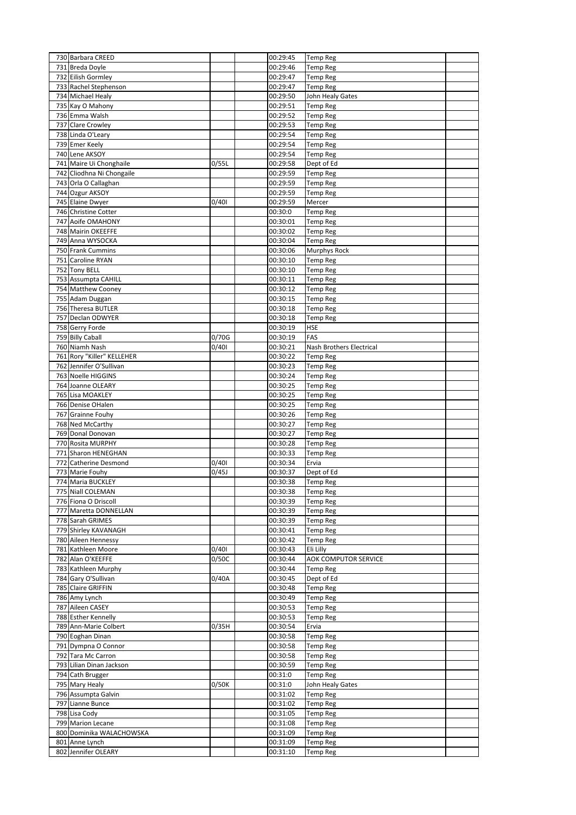| 730 Barbara CREED                          |       | 00:29:45             | <b>Temp Reg</b>                    |  |
|--------------------------------------------|-------|----------------------|------------------------------------|--|
| 731 Breda Doyle                            |       | 00:29:46             | Temp Reg                           |  |
| 732 Eilish Gormley                         |       | 00:29:47             | <b>Temp Reg</b>                    |  |
| 733 Rachel Stephenson                      |       | 00:29:47             | <b>Temp Reg</b>                    |  |
| 734 Michael Healy                          |       | 00:29:50             | John Healy Gates                   |  |
| 735 Kay O Mahony<br>736 Emma Walsh         |       | 00:29:51             | <b>Temp Reg</b>                    |  |
| 737 Clare Crowley                          |       | 00:29:52<br>00:29:53 | <b>Temp Reg</b>                    |  |
| 738 Linda O'Leary                          |       | 00:29:54             | <b>Temp Reg</b><br><b>Temp Reg</b> |  |
| 739 Emer Keely                             |       | 00:29:54             | <b>Temp Reg</b>                    |  |
| 740 Lene AKSOY                             |       | 00:29:54             | <b>Temp Reg</b>                    |  |
| 741 Maire Ui Chonghaile                    | 0/55L | 00:29:58             | Dept of Ed                         |  |
| 742 Cliodhna Ni Chongaile                  |       | 00:29:59             | <b>Temp Reg</b>                    |  |
| 743 Orla O Callaghan                       |       | 00:29:59             | <b>Temp Reg</b>                    |  |
| 744 Ozgur AKSOY                            |       | 00:29:59             | <b>Temp Reg</b>                    |  |
| 745 Elaine Dwyer                           | 0/401 | 00:29:59             | Mercer                             |  |
| 746 Christine Cotter                       |       | 00:30:0              | <b>Temp Reg</b>                    |  |
| 747 Aoife OMAHONY                          |       | 00:30:01             | <b>Temp Reg</b>                    |  |
| 748 Mairin OKEEFFE                         |       | 00:30:02             | <b>Temp Reg</b>                    |  |
| 749 Anna WYSOCKA                           |       | 00:30:04             | <b>Temp Reg</b>                    |  |
| 750 Frank Cummins                          |       | 00:30:06             | <b>Murphys Rock</b>                |  |
| 751 Caroline RYAN                          |       | 00:30:10             | <b>Temp Reg</b>                    |  |
| 752 Tony BELL                              |       | 00:30:10             | <b>Temp Reg</b>                    |  |
| 753 Assumpta CAHILL                        |       | 00:30:11             | <b>Temp Reg</b>                    |  |
| 754 Matthew Cooney<br>755 Adam Duggan      |       | 00:30:12<br>00:30:15 | <b>Temp Reg</b><br><b>Temp Reg</b> |  |
| 756 Theresa BUTLER                         |       | 00:30:18             | <b>Temp Reg</b>                    |  |
| 757 Declan ODWYER                          |       | 00:30:18             | <b>Temp Reg</b>                    |  |
| 758 Gerry Forde                            |       | 00:30:19             | HSE                                |  |
| 759 Billy Caball                           | 0/70G | 00:30:19             | FAS                                |  |
| 760 Niamh Nash                             | 0/401 | 00:30:21             | Nash Brothers Electrical           |  |
| 761 Rory "Killer" KELLEHER                 |       | 00:30:22             | <b>Temp Reg</b>                    |  |
| 762 Jennifer O'Sullivan                    |       | 00:30:23             | <b>Temp Reg</b>                    |  |
| 763 Noelle HIGGINS                         |       | 00:30:24             | <b>Temp Reg</b>                    |  |
| 764 Joanne OLEARY                          |       | 00:30:25             | <b>Temp Reg</b>                    |  |
| 765 Lisa MOAKLEY                           |       | 00:30:25             | <b>Temp Reg</b>                    |  |
| 766 Denise OHalen                          |       | 00:30:25             | <b>Temp Reg</b>                    |  |
| 767 Grainne Fouhy                          |       | 00:30:26             | <b>Temp Reg</b>                    |  |
| 768 Ned McCarthy                           |       | 00:30:27             | <b>Temp Reg</b>                    |  |
| 769 Donal Donovan                          |       | 00:30:27             | <b>Temp Reg</b>                    |  |
| 770 Rosita MURPHY<br>771 Sharon HENEGHAN   |       | 00:30:28<br>00:30:33 | <b>Temp Reg</b><br><b>Temp Reg</b> |  |
| 772 Catherine Desmond                      | 0/401 | 00:30:34             | Ervia                              |  |
| 773 Marie Fouhy                            | 0/45J | 00:30:37             | Dept of Ed                         |  |
| 774 Maria BUCKLEY                          |       | 00:30:38             | <b>Temp Reg</b>                    |  |
| 775 Niall COLEMAN                          |       | 00:30:38             | <b>Temp Reg</b>                    |  |
| 776 Fiona O Driscoll                       |       | 00:30:39             | <b>Temp Reg</b>                    |  |
| 777 Maretta DONNELLAN                      |       | 00:30:39             | <b>Temp Reg</b>                    |  |
| 778 Sarah GRIMES                           |       | 00:30:39             | <b>Temp Reg</b>                    |  |
| 779 Shirley KAVANAGH                       |       | 00:30:41             | <b>Temp Reg</b>                    |  |
| 780 Aileen Hennessy                        |       | 00:30:42             | <b>Temp Reg</b>                    |  |
| 781 Kathleen Moore                         | 0/401 | 00:30:43             | Eli Lilly                          |  |
| 782 Alan O'KEEFFE                          | 0/50C | 00:30:44             | AOK COMPUTOR SERVICE               |  |
| 783 Kathleen Murphy<br>784 Gary O'Sullivan | 0/40A | 00:30:44<br>00:30:45 | <b>Temp Reg</b><br>Dept of Ed      |  |
| 785 Claire GRIFFIN                         |       | 00:30:48             | <b>Temp Reg</b>                    |  |
| 786 Amy Lynch                              |       | 00:30:49             | <b>Temp Reg</b>                    |  |
| 787 Aileen CASEY                           |       | 00:30:53             | <b>Temp Reg</b>                    |  |
| 788 Esther Kennelly                        |       | 00:30:53             | <b>Temp Reg</b>                    |  |
| 789 Ann-Marie Colbert                      | 0/35H | 00:30:54             | Ervia                              |  |
| 790 Eoghan Dinan                           |       | 00:30:58             | <b>Temp Reg</b>                    |  |
| 791 Dympna O Connor                        |       | 00:30:58             | <b>Temp Reg</b>                    |  |
| 792 Tara Mc Carron                         |       | 00:30:58             | <b>Temp Reg</b>                    |  |
| 793 Lilian Dinan Jackson                   |       | 00:30:59             | <b>Temp Reg</b>                    |  |
| 794 Cath Brugger                           |       | 00:31:0              | <b>Temp Reg</b>                    |  |
| 795 Mary Healy                             | 0/50K | 00:31:0              | John Healy Gates                   |  |
| 796 Assumpta Galvin                        |       | 00:31:02             | <b>Temp Reg</b>                    |  |
| 797 Lianne Bunce                           |       | 00:31:02             | <b>Temp Reg</b>                    |  |
| 798 Lisa Cody<br>799 Marion Lecane         |       | 00:31:05<br>00:31:08 | <b>Temp Reg</b>                    |  |
| 800 Dominika WALACHOWSKA                   |       | 00:31:09             | <b>Temp Reg</b><br><b>Temp Reg</b> |  |
| 801 Anne Lynch                             |       | 00:31:09             | <b>Temp Reg</b>                    |  |
| 802 Jennifer OLEARY                        |       | 00:31:10             | <b>Temp Reg</b>                    |  |
|                                            |       |                      |                                    |  |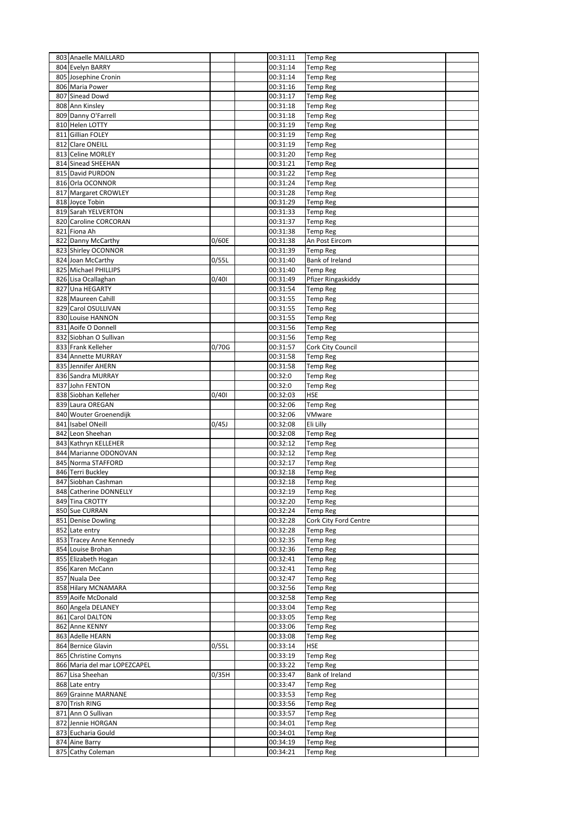| 803 Anaelle MAILLARD                        |       | 00:31:11             | <b>Temp Reg</b>                    |  |
|---------------------------------------------|-------|----------------------|------------------------------------|--|
| 804 Evelyn BARRY                            |       | 00:31:14             | <b>Temp Reg</b>                    |  |
| 805 Josephine Cronin                        |       | 00:31:14             | <b>Temp Reg</b>                    |  |
| 806 Maria Power                             |       | 00:31:16             | <b>Temp Reg</b>                    |  |
| 807 Sinead Dowd                             |       | 00:31:17             | <b>Temp Reg</b>                    |  |
| 808 Ann Kinsley                             |       | 00:31:18             | <b>Temp Reg</b>                    |  |
| 809 Danny O'Farrell                         |       | 00:31:18             | <b>Temp Reg</b>                    |  |
| 810 Helen LOTTY                             |       | 00:31:19             | <b>Temp Reg</b>                    |  |
| 811 Gillian FOLEY                           |       | 00:31:19             | <b>Temp Reg</b>                    |  |
| 812 Clare ONEILL                            |       | 00:31:19             | <b>Temp Reg</b>                    |  |
| 813 Celine MORLEY<br>814 Sinead SHEEHAN     |       | 00:31:20<br>00:31:21 | <b>Temp Reg</b><br><b>Temp Reg</b> |  |
| 815 David PURDON                            |       | 00:31:22             | <b>Temp Reg</b>                    |  |
| 816 Orla OCONNOR                            |       | 00:31:24             | <b>Temp Reg</b>                    |  |
| 817 Margaret CROWLEY                        |       | 00:31:28             | Temp Reg                           |  |
| 818 Joyce Tobin                             |       | 00:31:29             | <b>Temp Reg</b>                    |  |
| 819 Sarah YELVERTON                         |       | 00:31:33             | <b>Temp Reg</b>                    |  |
| 820 Caroline CORCORAN                       |       | 00:31:37             | <b>Temp Reg</b>                    |  |
| 821 Fiona Ah                                |       | 00:31:38             | <b>Temp Reg</b>                    |  |
| 822 Danny McCarthy                          | 0/60E | 00:31:38             | An Post Eircom                     |  |
| 823 Shirley OCONNOR                         |       | 00:31:39             | <b>Temp Reg</b>                    |  |
| 824 Joan McCarthy                           | 0/55L | 00:31:40             | Bank of Ireland                    |  |
| 825 Michael PHILLIPS                        |       | 00:31:40             | <b>Temp Reg</b>                    |  |
| 826 Lisa Ocallaghan                         | 0/401 | 00:31:49             | Pfizer Ringaskiddy                 |  |
| 827 Una HEGARTY                             |       | 00:31:54             | <b>Temp Reg</b>                    |  |
| 828 Maureen Cahill                          |       | 00:31:55             | <b>Temp Reg</b>                    |  |
| 829 Carol OSULLIVAN<br>830 Louise HANNON    |       | 00:31:55<br>00:31:55 | Temp Reg<br><b>Temp Reg</b>        |  |
| 831 Aoife O Donnell                         |       | 00:31:56             | <b>Temp Reg</b>                    |  |
| 832 Siobhan O Sullivan                      |       | 00:31:56             | Temp Reg                           |  |
| 833 Frank Kelleher                          | 0/70G | 00:31:57             | Cork City Council                  |  |
| 834 Annette MURRAY                          |       | 00:31:58             | <b>Temp Reg</b>                    |  |
| 835 Jennifer AHERN                          |       | 00:31:58             | <b>Temp Reg</b>                    |  |
| 836 Sandra MURRAY                           |       | 00:32:0              | <b>Temp Reg</b>                    |  |
| 837 John FENTON                             |       | 00:32:0              | <b>Temp Reg</b>                    |  |
| 838 Siobhan Kelleher                        | 0/401 | 00:32:03             | HSE                                |  |
| 839 Laura OREGAN                            |       | 00:32:06             | <b>Temp Reg</b>                    |  |
| 840 Wouter Groenendijk                      |       | 00:32:06             | VMware                             |  |
| 841 Isabel ONeill                           | 0/45J | 00:32:08             | Eli Lilly                          |  |
| 842 Leon Sheehan                            |       | 00:32:08             | <b>Temp Reg</b>                    |  |
| 843 Kathryn KELLEHER                        |       | 00:32:12             | <b>Temp Reg</b>                    |  |
| 844 Marianne ODONOVAN<br>845 Norma STAFFORD |       | 00:32:12<br>00:32:17 | <b>Temp Reg</b>                    |  |
| 846 Terri Buckley                           |       | 00:32:18             | <b>Temp Reg</b><br><b>Temp Reg</b> |  |
| 847 Siobhan Cashman                         |       | 00:32:18             | <b>Temp Reg</b>                    |  |
| 848 Catherine DONNELLY                      |       | 00:32:19             | <b>Temp Reg</b>                    |  |
| 849 Tina CROTTY                             |       | 00:32:20             | <b>Temp Reg</b>                    |  |
| 850 Sue CURRAN                              |       | 00:32:24             | <b>Temp Reg</b>                    |  |
| 851 Denise Dowling                          |       | 00:32:28             | Cork City Ford Centre              |  |
| 852 Late entry                              |       | 00:32:28             | <b>Temp Reg</b>                    |  |
| 853 Tracey Anne Kennedy                     |       | 00:32:35             | <b>Temp Reg</b>                    |  |
| 854 Louise Brohan                           |       | 00:32:36             | <b>Temp Reg</b>                    |  |
| 855 Elizabeth Hogan                         |       | 00:32:41             | <b>Temp Reg</b>                    |  |
| 856 Karen McCann                            |       | 00:32:41             | <b>Temp Reg</b>                    |  |
| 857 Nuala Dee                               |       | 00:32:47             | <b>Temp Reg</b>                    |  |
| 858 Hilary MCNAMARA                         |       | 00:32:56             | <b>Temp Reg</b>                    |  |
| 859 Aoife McDonald<br>860 Angela DELANEY    |       | 00:32:58<br>00:33:04 | <b>Temp Reg</b><br><b>Temp Reg</b> |  |
| 861 Carol DALTON                            |       | 00:33:05             | <b>Temp Reg</b>                    |  |
| 862 Anne KENNY                              |       | 00:33:06             | <b>Temp Reg</b>                    |  |
| 863 Adelle HEARN                            |       | 00:33:08             | <b>Temp Reg</b>                    |  |
| 864 Bernice Glavin                          | 0/55L | 00:33:14             | HSE                                |  |
| 865 Christine Comyns                        |       | 00:33:19             | <b>Temp Reg</b>                    |  |
| 866 Maria del mar LOPEZCAPEL                |       | 00:33:22             | <b>Temp Reg</b>                    |  |
| 867 Lisa Sheehan                            | 0/35H | 00:33:47             | Bank of Ireland                    |  |
| 868 Late entry                              |       | 00:33:47             | <b>Temp Reg</b>                    |  |
| 869 Grainne MARNANE                         |       | 00:33:53             | <b>Temp Reg</b>                    |  |
| 870 Trish RING                              |       | 00:33:56             | <b>Temp Reg</b>                    |  |
| 871 Ann O Sullivan                          |       | 00:33:57             | <b>Temp Reg</b>                    |  |
| 872 Jennie HORGAN                           |       | 00:34:01             | <b>Temp Reg</b>                    |  |
| 873 Eucharia Gould                          |       | 00:34:01             | <b>Temp Reg</b>                    |  |
| 874 Aine Barry<br>875 Cathy Coleman         |       | 00:34:19<br>00:34:21 | <b>Temp Reg</b><br><b>Temp Reg</b> |  |
|                                             |       |                      |                                    |  |